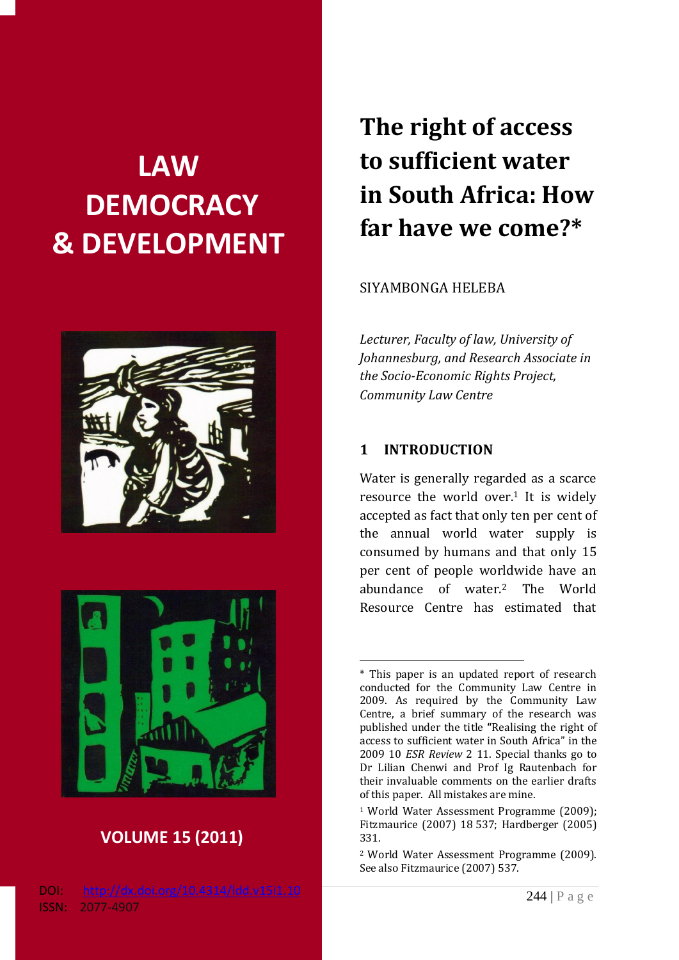# **LAW DEMOCRACY & DEVELOPMENT**





# **VOLUME 15 (2011)**

# **The right of access to sufficient water in South Africa: How far have we come?\***

#### SIYAMBONGA HELEBA

*Lecturer, Faculty of law, University of Johannesburg, and Research Associate in the Socio-Economic Rights Project, Community Law Centre*

#### **1 INTRODUCTION**

<u>.</u>

Water is generally regarded as a scarce resource the world over.<sup>1</sup> It is widely accepted as fact that only ten per cent of the annual world water supply is consumed by humans and that only 15 per cent of people worldwide have an abundance of water.<sup>2</sup> The World Resource Centre has estimated that

<sup>\*</sup> This paper is an updated report of research conducted for the Community Law Centre in 2009. As required by the Community Law Centre, a brief summary of the research was published under the title **"**Realising the right of access to sufficient water in South Africa" in the 2009 10 *ESR Review* 2 11. Special thanks go to Dr Lilian Chenwi and Prof Ig Rautenbach for their invaluable comments on the earlier drafts of this paper. All mistakes are mine.

<sup>1</sup> World Water Assessment Programme (2009); Fitzmaurice (2007) 18 537; Hardberger (2005) 331.

<sup>2</sup> World Water Assessment Programme (2009). See also Fitzmaurice (2007) 537.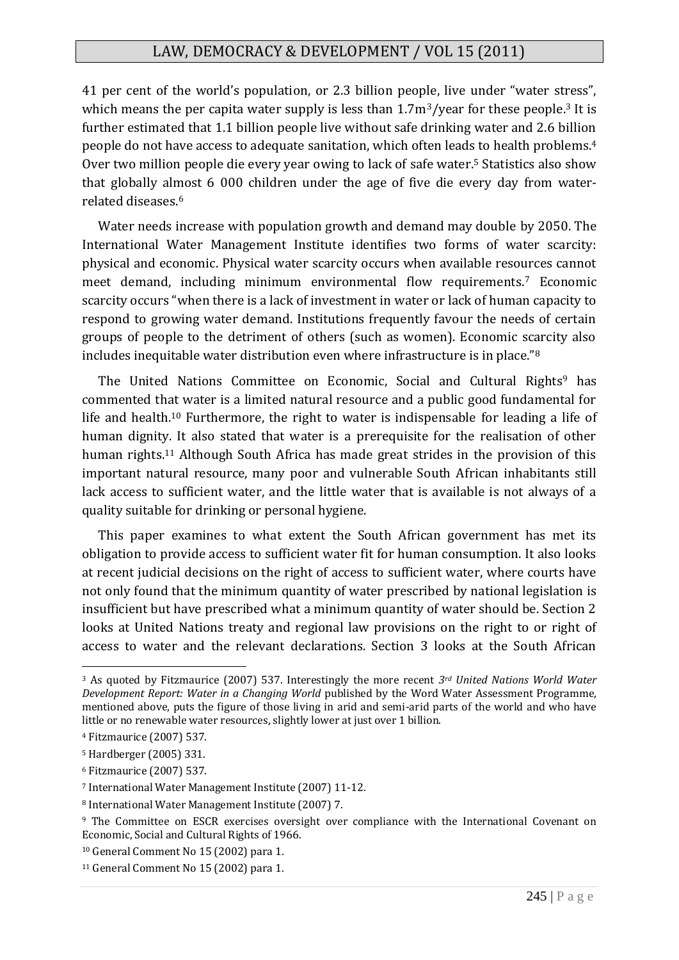41 per cent of the world's population, or 2.3 billion people, live under "water stress", which means the per capita water supply is less than  $1.7 \text{m}^3/\text{year}$  for these people.<sup>3</sup> It is further estimated that 1.1 billion people live without safe drinking water and 2.6 billion people do not have access to adequate sanitation, which often leads to health problems.<sup>4</sup> Over two million people die every year owing to lack of safe water.<sup>5</sup> Statistics also show that globally almost 6 000 children under the age of five die every day from waterrelated diseases.<sup>6</sup>

Water needs increase with population growth and demand may double by 2050. The International Water Management Institute identifies two forms of water scarcity: physical and economic. Physical water scarcity occurs when available resources cannot meet demand, including minimum environmental flow requirements.<sup>7</sup> Economic scarcity occurs "when there is a lack of investment in water or lack of human capacity to respond to growing water demand. Institutions frequently favour the needs of certain groups of people to the detriment of others (such as women). Economic scarcity also includes inequitable water distribution even where infrastructure is in place."<sup>8</sup>

The United Nations Committee on Economic, Social and Cultural Rights<sup>9</sup> has commented that water is a limited natural resource and a public good fundamental for life and health.<sup>10</sup> Furthermore, the right to water is indispensable for leading a life of human dignity. It also stated that water is a prerequisite for the realisation of other human rights.<sup>11</sup> Although South Africa has made great strides in the provision of this important natural resource, many poor and vulnerable South African inhabitants still lack access to sufficient water, and the little water that is available is not always of a quality suitable for drinking or personal hygiene.

This paper examines to what extent the South African government has met its obligation to provide access to sufficient water fit for human consumption. It also looks at recent judicial decisions on the right of access to sufficient water, where courts have not only found that the minimum quantity of water prescribed by national legislation is insufficient but have prescribed what a minimum quantity of water should be. Section 2 looks at United Nations treaty and regional law provisions on the right to or right of access to water and the relevant declarations. Section 3 looks at the South African

<sup>3</sup> As quoted by Fitzmaurice (2007) 537. Interestingly the more recent *3rd United Nations World Water Development Report: Water in a Changing World* published by the Word Water Assessment Programme, mentioned above, puts the figure of those living in arid and semi-arid parts of the world and who have little or no renewable water resources, slightly lower at just over 1 billion.

<sup>4</sup> Fitzmaurice (2007) 537.

<sup>5</sup> Hardberger (2005) 331.

<sup>6</sup> Fitzmaurice (2007) 537.

<sup>7</sup> International Water Management Institute (2007) 11-12.

<sup>8</sup> International Water Management Institute (2007) 7.

<sup>&</sup>lt;sup>9</sup> The Committee on ESCR exercises oversight over compliance with the International Covenant on Economic, Social and Cultural Rights of 1966.

<sup>10</sup> General Comment No 15 (2002) para 1.

<sup>11</sup> General Comment No 15 (2002) para 1.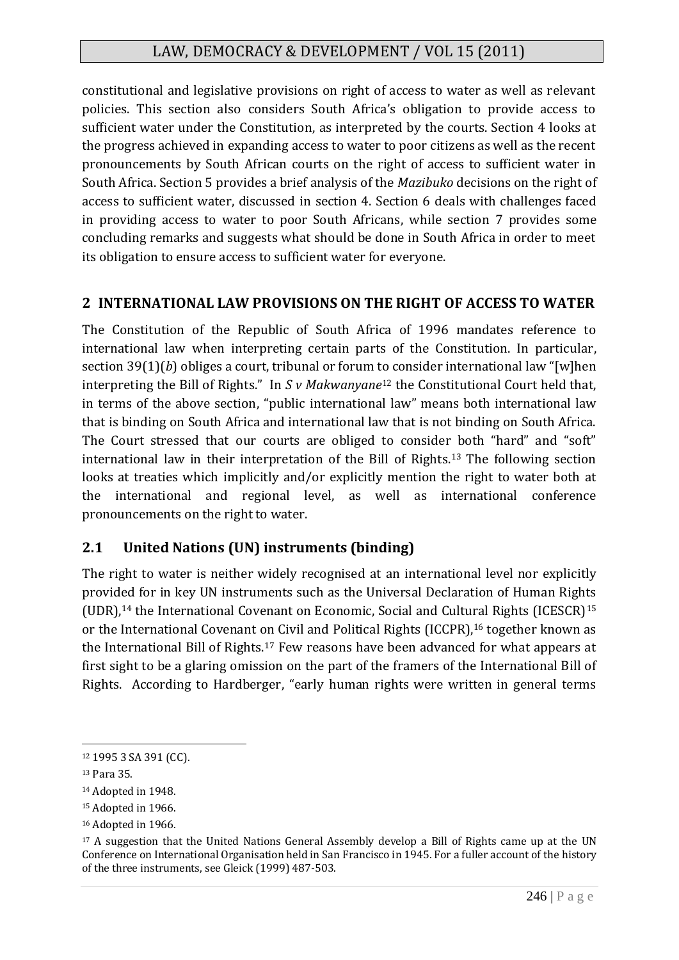constitutional and legislative provisions on right of access to water as well as relevant policies. This section also considers South Africa's obligation to provide access to sufficient water under the Constitution, as interpreted by the courts. Section 4 looks at the progress achieved in expanding access to water to poor citizens as well as the recent pronouncements by South African courts on the right of access to sufficient water in South Africa. Section 5 provides a brief analysis of the *Mazibuko* decisions on the right of access to sufficient water, discussed in section 4. Section 6 deals with challenges faced in providing access to water to poor South Africans, while section 7 provides some concluding remarks and suggests what should be done in South Africa in order to meet its obligation to ensure access to sufficient water for everyone.

#### **2 INTERNATIONAL LAW PROVISIONS ON THE RIGHT OF ACCESS TO WATER**

The Constitution of the Republic of South Africa of 1996 mandates reference to international law when interpreting certain parts of the Constitution. In particular, section 39(1)(*b*) obliges a court, tribunal or forum to consider international law "[w]hen interpreting the Bill of Rights." In *S v Makwanyane*<sup>12</sup> the Constitutional Court held that, in terms of the above section, "public international law" means both international law that is binding on South Africa and international law that is not binding on South Africa. The Court stressed that our courts are obliged to consider both "hard" and "soft" international law in their interpretation of the Bill of Rights.<sup>13</sup> The following section looks at treaties which implicitly and/or explicitly mention the right to water both at the international and regional level, as well as international conference pronouncements on the right to water.

#### **2.1 United Nations (UN) instruments (binding)**

The right to water is neither widely recognised at an international level nor explicitly provided for in key UN instruments such as the Universal Declaration of Human Rights (UDR),<sup>14</sup> the International Covenant on Economic, Social and Cultural Rights (ICESCR)<sup>15</sup> or the International Covenant on Civil and Political Rights (ICCPR), <sup>16</sup> together known as the International Bill of Rights.<sup>17</sup> Few reasons have been advanced for what appears at first sight to be a glaring omission on the part of the framers of the International Bill of Rights. According to Hardberger, "early human rights were written in general terms

<sup>12</sup> 1995 3 SA 391 (CC).

<sup>13</sup> Para 35.

<sup>14</sup> Adopted in 1948.

<sup>&</sup>lt;sup>15</sup> Adopted in 1966.

<sup>16</sup> Adopted in 1966.

<sup>&</sup>lt;sup>17</sup> A suggestion that the United Nations General Assembly develop a Bill of Rights came up at the UN Conference on International Organisation held in San Francisco in 1945. For a fuller account of the history of the three instruments, see Gleick (1999) 487-503.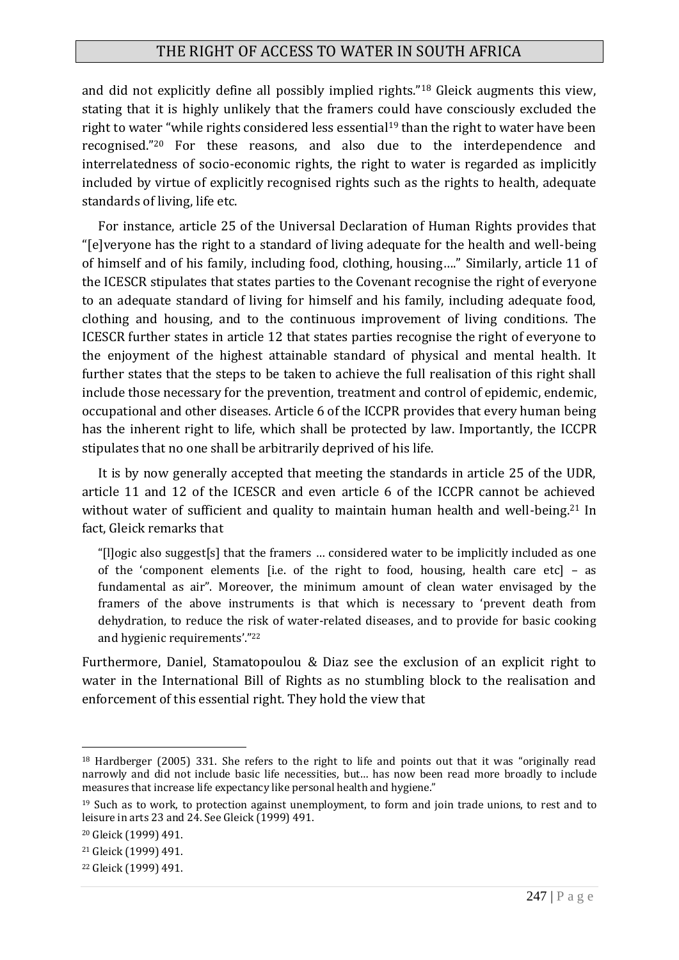and did not explicitly define all possibly implied rights."<sup>18</sup> Gleick augments this view, stating that it is highly unlikely that the framers could have consciously excluded the right to water "while rights considered less essential<sup>19</sup> than the right to water have been recognised."<sup>20</sup> For these reasons, and also due to the interdependence and interrelatedness of socio-economic rights, the right to water is regarded as implicitly included by virtue of explicitly recognised rights such as the rights to health, adequate standards of living, life etc.

For instance, article 25 of the Universal Declaration of Human Rights provides that "[e]veryone has the right to a standard of living adequate for the health and well-being of himself and of his family, including food, clothing, housing…." Similarly, article 11 of the ICESCR stipulates that states parties to the Covenant recognise the right of everyone to an adequate standard of living for himself and his family, including adequate food, clothing and housing, and to the continuous improvement of living conditions. The ICESCR further states in article 12 that states parties recognise the right of everyone to the enjoyment of the highest attainable standard of physical and mental health. It further states that the steps to be taken to achieve the full realisation of this right shall include those necessary for the prevention, treatment and control of epidemic, endemic, occupational and other diseases. Article 6 of the ICCPR provides that every human being has the inherent right to life, which shall be protected by law. Importantly, the ICCPR stipulates that no one shall be arbitrarily deprived of his life.

It is by now generally accepted that meeting the standards in article 25 of the UDR, article 11 and 12 of the ICESCR and even article 6 of the ICCPR cannot be achieved without water of sufficient and quality to maintain human health and well-being.<sup>21</sup> In fact, Gleick remarks that

"[l]ogic also suggest[s] that the framers … considered water to be implicitly included as one of the 'component elements [i.e. of the right to food, housing, health care etc] – as fundamental as air". Moreover, the minimum amount of clean water envisaged by the framers of the above instruments is that which is necessary to 'prevent death from dehydration, to reduce the risk of water-related diseases, and to provide for basic cooking and hygienic requirements'."<sup>22</sup>

Furthermore, Daniel, Stamatopoulou & Diaz see the exclusion of an explicit right to water in the International Bill of Rights as no stumbling block to the realisation and enforcement of this essential right. They hold the view that

<sup>18</sup> Hardberger (2005) 331. She refers to the right to life and points out that it was "originally read narrowly and did not include basic life necessities, but… has now been read more broadly to include measures that increase life expectancy like personal health and hygiene."

<sup>19</sup> Such as to work, to protection against unemployment, to form and join trade unions, to rest and to leisure in arts 23 and 24. See Gleick (1999) 491.

<sup>20</sup> Gleick (1999) 491.

<sup>21</sup> Gleick (1999) 491.

<sup>22</sup> Gleick (1999) 491.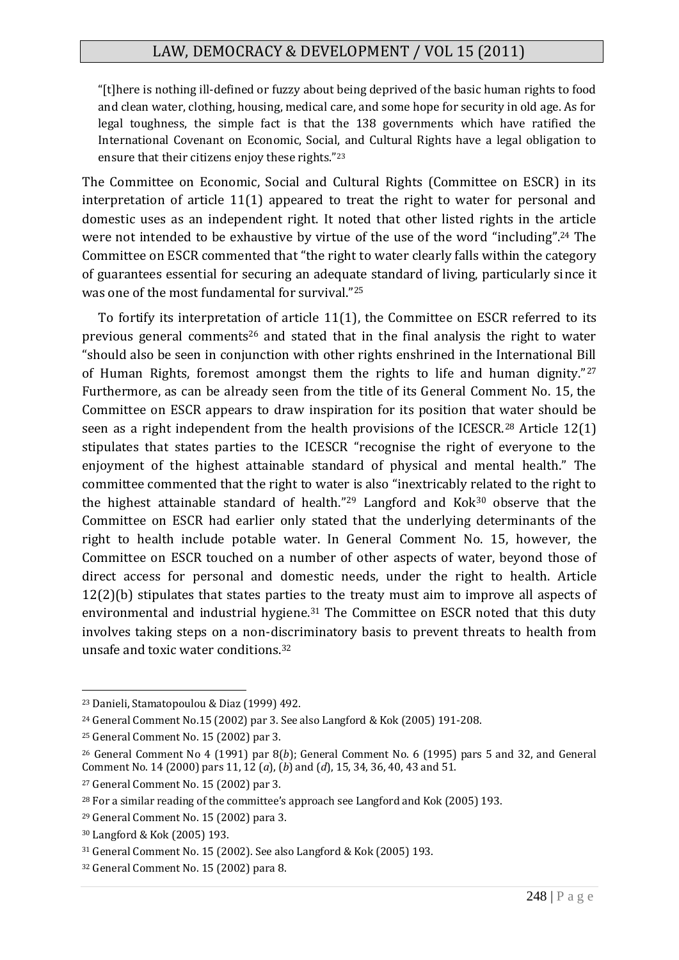"[t]here is nothing ill-defined or fuzzy about being deprived of the basic human rights to food and clean water, clothing, housing, medical care, and some hope for security in old age. As for legal toughness, the simple fact is that the 138 governments which have ratified the International Covenant on Economic, Social, and Cultural Rights have a legal obligation to ensure that their citizens enjoy these rights."<sup>23</sup>

The Committee on Economic, Social and Cultural Rights (Committee on ESCR) in its interpretation of article 11(1) appeared to treat the right to water for personal and domestic uses as an independent right. It noted that other listed rights in the article were not intended to be exhaustive by virtue of the use of the word "including". <sup>24</sup> The Committee on ESCR commented that "the right to water clearly falls within the category of guarantees essential for securing an adequate standard of living, particularly since it was one of the most fundamental for survival."<sup>25</sup>

To fortify its interpretation of article 11(1), the Committee on ESCR referred to its previous general comments<sup>26</sup> and stated that in the final analysis the right to water "should also be seen in conjunction with other rights enshrined in the International Bill of Human Rights, foremost amongst them the rights to life and human dignity."<sup>27</sup> Furthermore, as can be already seen from the title of its General Comment No. 15, the Committee on ESCR appears to draw inspiration for its position that water should be seen as a right independent from the health provisions of the ICESCR.<sup>28</sup> Article 12(1) stipulates that states parties to the ICESCR "recognise the right of everyone to the enjoyment of the highest attainable standard of physical and mental health." The committee commented that the right to water is also "inextricably related to the right to the highest attainable standard of health."<sup>29</sup> Langford and Kok<sup>30</sup> observe that the Committee on ESCR had earlier only stated that the underlying determinants of the right to health include potable water. In General Comment No. 15, however, the Committee on ESCR touched on a number of other aspects of water, beyond those of direct access for personal and domestic needs, under the right to health. Article 12(2)(b) stipulates that states parties to the treaty must aim to improve all aspects of environmental and industrial hygiene.<sup>31</sup> The Committee on ESCR noted that this duty involves taking steps on a non-discriminatory basis to prevent threats to health from unsafe and toxic water conditions.<sup>32</sup>

<sup>23</sup> Danieli, Stamatopoulou & Diaz (1999) 492.

<sup>24</sup> General Comment No.15 (2002) par 3. See also Langford & Kok (2005) 191-208.

<sup>25</sup> General Comment No. 15 (2002) par 3.

<sup>26</sup> General Comment No 4 (1991) par 8(*b*); General Comment No. 6 (1995) pars 5 and 32, and General Comment No. 14 (2000) pars 11, 12 (*a*), (*b*) and (*d*), 15, 34, 36, 40, 43 and 51.

<sup>27</sup> General Comment No. 15 (2002) par 3.

<sup>28</sup> For a similar reading of the committee's approach see Langford and Kok (2005) 193.

<sup>29</sup> General Comment No. 15 (2002) para 3.

<sup>30</sup> Langford & Kok (2005) 193.

<sup>31</sup> General Comment No. 15 (2002). See also Langford & Kok (2005) 193.

<sup>32</sup> General Comment No. 15 (2002) para 8.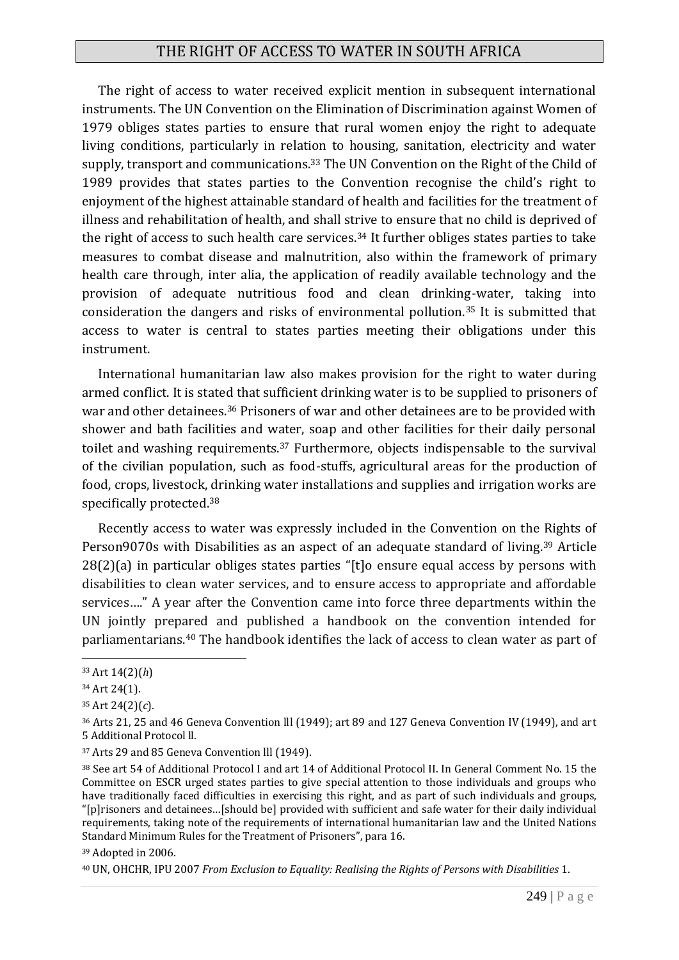The right of access to water received explicit mention in subsequent international instruments. The UN Convention on the Elimination of Discrimination against Women of 1979 obliges states parties to ensure that rural women enjoy the right to adequate living conditions, particularly in relation to housing, sanitation, electricity and water supply, transport and communications.<sup>33</sup> The UN Convention on the Right of the Child of 1989 provides that states parties to the Convention recognise the child's right to enjoyment of the highest attainable standard of health and facilities for the treatment of illness and rehabilitation of health, and shall strive to ensure that no child is deprived of the right of access to such health care services.<sup>34</sup> It further obliges states parties to take measures to combat disease and malnutrition, also within the framework of primary health care through, inter alia, the application of readily available technology and the provision of adequate nutritious food and clean drinking-water, taking into consideration the dangers and risks of environmental pollution.<sup>35</sup> It is submitted that access to water is central to states parties meeting their obligations under this instrument.

International humanitarian law also makes provision for the right to water during armed conflict. It is stated that sufficient drinking water is to be supplied to prisoners of war and other detainees.<sup>36</sup> Prisoners of war and other detainees are to be provided with shower and bath facilities and water, soap and other facilities for their daily personal toilet and washing requirements.<sup>37</sup> Furthermore, objects indispensable to the survival of the civilian population, such as food-stuffs, agricultural areas for the production of food, crops, livestock, drinking water installations and supplies and irrigation works are specifically protected.<sup>38</sup>

Recently access to water was expressly included in the Convention on the Rights of Person9070s with Disabilities as an aspect of an adequate standard of living.<sup>39</sup> Article  $28(2)(a)$  in particular obliges states parties "[t]o ensure equal access by persons with disabilities to clean water services, and to ensure access to appropriate and affordable services…." A year after the Convention came into force three departments within the UN jointly prepared and published a handbook on the convention intended for parliamentarians.<sup>40</sup> The handbook identifies the lack of access to clean water as part of

<sup>33</sup> Art 14(2)(*h*)

<sup>34</sup> Art 24(1).

<sup>35</sup> Art 24(2)(*c*).

<sup>36</sup> Arts 21, 25 and 46 Geneva Convention lll (1949); art 89 and 127 Geneva Convention IV (1949), and art 5 Additional Protocol ll.

<sup>37</sup> Arts 29 and 85 Geneva Convention lll (1949).

<sup>38</sup> See art 54 of Additional Protocol I and art 14 of Additional Protocol II. In General Comment No. 15 the Committee on ESCR urged states parties to give special attention to those individuals and groups who have traditionally faced difficulties in exercising this right, and as part of such individuals and groups, "[p]risoners and detainees…[should be] provided with sufficient and safe water for their daily individual requirements, taking note of the requirements of international humanitarian law and the United Nations Standard Minimum Rules for the Treatment of Prisoners", para 16.

<sup>39</sup> Adopted in 2006.

<sup>40</sup> UN, OHCHR, IPU 2007 *From Exclusion to Equality: Realising the Rights of Persons with Disabilities* 1.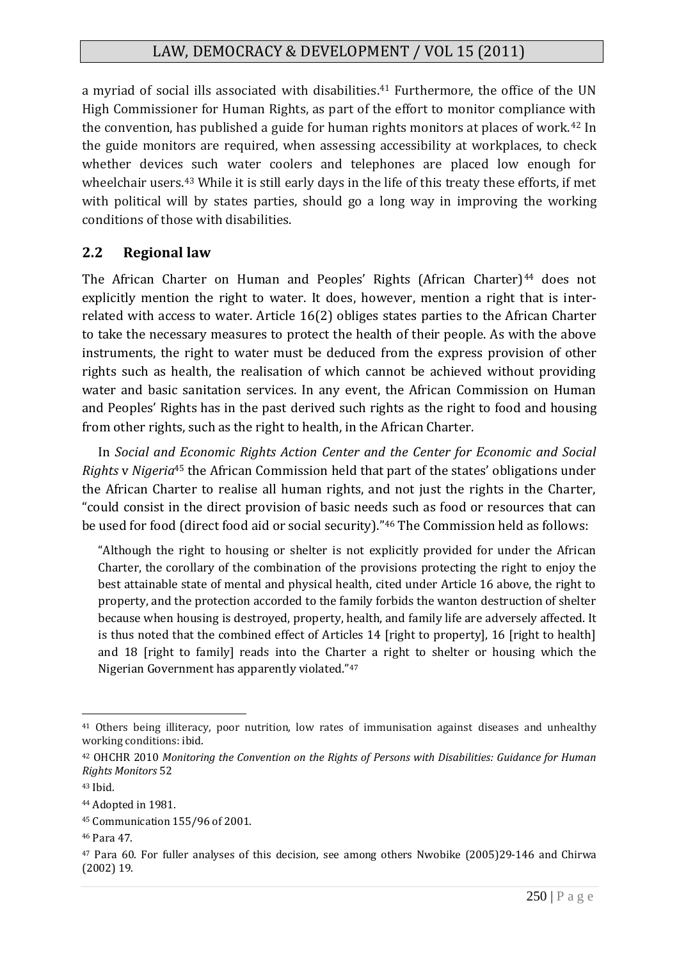a myriad of social ills associated with disabilities. <sup>41</sup> Furthermore, the office of the UN High Commissioner for Human Rights, as part of the effort to monitor compliance with the convention, has published a guide for human rights monitors at places of work.<sup>42</sup> In the guide monitors are required, when assessing accessibility at workplaces, to check whether devices such water coolers and telephones are placed low enough for wheelchair users.<sup>43</sup> While it is still early days in the life of this treaty these efforts, if met with political will by states parties, should go a long way in improving the working conditions of those with disabilities.

#### **2.2 Regional law**

The African Charter on Human and Peoples' Rights (African Charter)<sup>44</sup> does not explicitly mention the right to water. It does, however, mention a right that is interrelated with access to water. Article 16(2) obliges states parties to the African Charter to take the necessary measures to protect the health of their people. As with the above instruments, the right to water must be deduced from the express provision of other rights such as health, the realisation of which cannot be achieved without providing water and basic sanitation services. In any event, the African Commission on Human and Peoples' Rights has in the past derived such rights as the right to food and housing from other rights, such as the right to health, in the African Charter.

In *Social and Economic Rights Action Center and the Center for Economic and Social Rights* v *Nigeria*<sup>45</sup> the African Commission held that part of the states' obligations under the African Charter to realise all human rights, and not just the rights in the Charter, "could consist in the direct provision of basic needs such as food or resources that can be used for food (direct food aid or social security)."<sup>46</sup> The Commission held as follows:

"Although the right to housing or shelter is not explicitly provided for under the African Charter, the corollary of the combination of the provisions protecting the right to enjoy the best attainable state of mental and physical health, cited under Article 16 above, the right to property, and the protection accorded to the family forbids the wanton destruction of shelter because when housing is destroyed, property, health, and family life are adversely affected. It is thus noted that the combined effect of Articles 14 [right to property], 16 [right to health] and 18 [right to family] reads into the Charter a right to shelter or housing which the Nigerian Government has apparently violated."<sup>47</sup>

<sup>1</sup> <sup>41</sup> Others being illiteracy, poor nutrition, low rates of immunisation against diseases and unhealthy working conditions: ibid.

<sup>42</sup> OHCHR 2010 *Monitoring the Convention on the Rights of Persons with Disabilities: Guidance for Human Rights Monitors* 52

<sup>43</sup> Ibid.

<sup>44</sup> Adopted in 1981.

<sup>45</sup> Communication 155/96 of 2001.

<sup>46</sup> Para 47.

<sup>47</sup> Para 60. For fuller analyses of this decision, see among others Nwobike (2005)29-146 and Chirwa (2002) 19.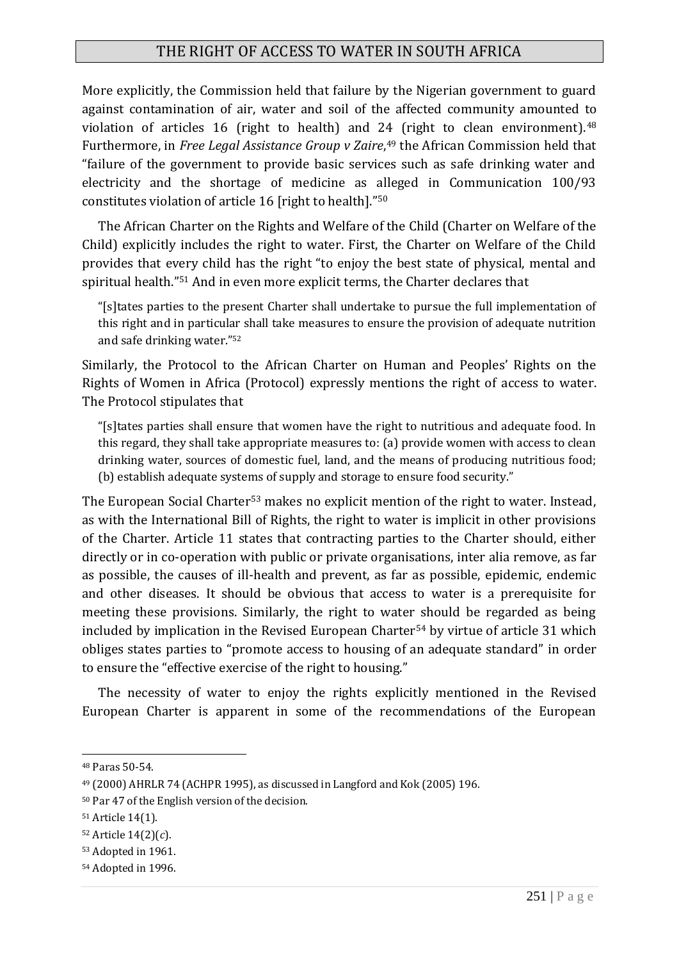More explicitly, the Commission held that failure by the Nigerian government to guard against contamination of air, water and soil of the affected community amounted to violation of articles 16 (right to health) and 24 (right to clean environment).<sup>48</sup> Furthermore, in *Free Legal Assistance Group v Zaire*, <sup>49</sup> the African Commission held that "failure of the government to provide basic services such as safe drinking water and electricity and the shortage of medicine as alleged in Communication 100/93 constitutes violation of article 16 [right to health]."<sup>50</sup>

The African Charter on the Rights and Welfare of the Child (Charter on Welfare of the Child) explicitly includes the right to water. First, the Charter on Welfare of the Child provides that every child has the right "to enjoy the best state of physical, mental and spiritual health."<sup>51</sup> And in even more explicit terms, the Charter declares that

"[s]tates parties to the present Charter shall undertake to pursue the full implementation of this right and in particular shall take measures to ensure the provision of adequate nutrition and safe drinking water."<sup>52</sup>

Similarly, the Protocol to the African Charter on Human and Peoples' Rights on the Rights of Women in Africa (Protocol) expressly mentions the right of access to water. The Protocol stipulates that

"[s]tates parties shall ensure that women have the right to nutritious and adequate food. In this regard, they shall take appropriate measures to: (a) provide women with access to clean drinking water, sources of domestic fuel, land, and the means of producing nutritious food; (b) establish adequate systems of supply and storage to ensure food security."

The European Social Charter<sup>53</sup> makes no explicit mention of the right to water. Instead, as with the International Bill of Rights, the right to water is implicit in other provisions of the Charter. Article 11 states that contracting parties to the Charter should, either directly or in co-operation with public or private organisations, inter alia remove, as far as possible, the causes of ill-health and prevent, as far as possible, epidemic, endemic and other diseases. It should be obvious that access to water is a prerequisite for meeting these provisions. Similarly, the right to water should be regarded as being included by implication in the Revised European Charter<sup>54</sup> by virtue of article 31 which obliges states parties to "promote access to housing of an adequate standard" in order to ensure the "effective exercise of the right to housing."

The necessity of water to enjoy the rights explicitly mentioned in the Revised European Charter is apparent in some of the recommendations of the European

<sup>48</sup> Paras 50-54.

<sup>49</sup> (2000) AHRLR 74 (ACHPR 1995), as discussed in Langford and Kok (2005) 196.

<sup>50</sup> Par 47 of the English version of the decision.

<sup>51</sup> Article 14(1).

<sup>52</sup> Article 14(2)(*c*).

<sup>53</sup> Adopted in 1961.

<sup>54</sup> Adopted in 1996.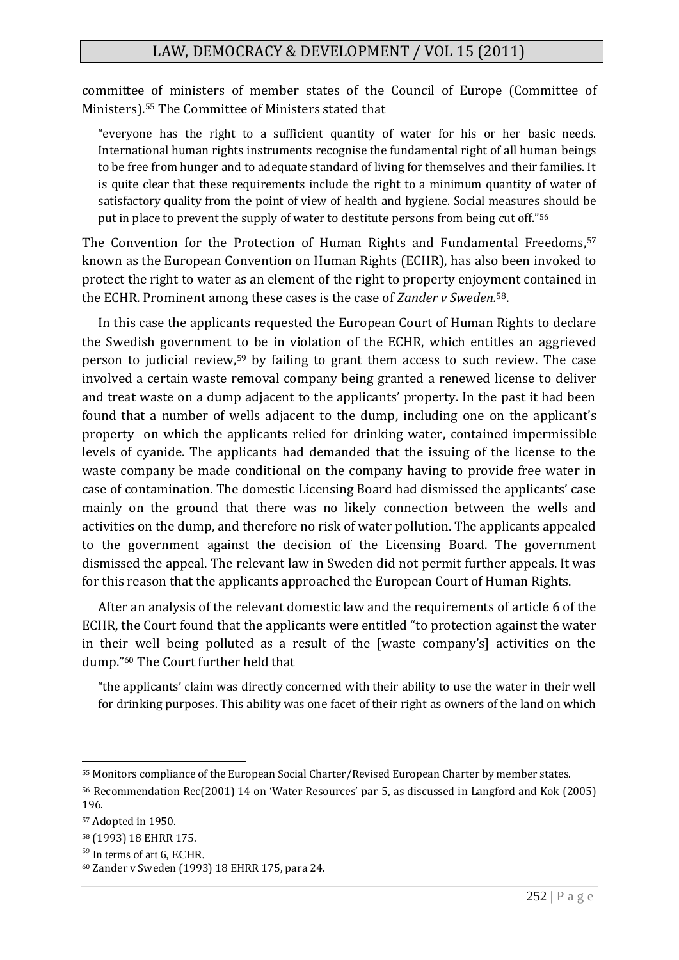committee of ministers of member states of the Council of Europe (Committee of Ministers).<sup>55</sup> The Committee of Ministers stated that

"everyone has the right to a sufficient quantity of water for his or her basic needs. International human rights instruments recognise the fundamental right of all human beings to be free from hunger and to adequate standard of living for themselves and their families. It is quite clear that these requirements include the right to a minimum quantity of water of satisfactory quality from the point of view of health and hygiene. Social measures should be put in place to prevent the supply of water to destitute persons from being cut off."<sup>56</sup>

The Convention for the Protection of Human Rights and Fundamental Freedoms,<sup>57</sup> known as the European Convention on Human Rights (ECHR), has also been invoked to protect the right to water as an element of the right to property enjoyment contained in the ECHR. Prominent among these cases is the case of *Zander v Sweden.* <sup>58</sup>.

In this case the applicants requested the European Court of Human Rights to declare the Swedish government to be in violation of the ECHR, which entitles an aggrieved person to judicial review, <sup>59</sup> by failing to grant them access to such review. The case involved a certain waste removal company being granted a renewed license to deliver and treat waste on a dump adjacent to the applicants' property. In the past it had been found that a number of wells adjacent to the dump, including one on the applicant's property on which the applicants relied for drinking water, contained impermissible levels of cyanide. The applicants had demanded that the issuing of the license to the waste company be made conditional on the company having to provide free water in case of contamination. The domestic Licensing Board had dismissed the applicants' case mainly on the ground that there was no likely connection between the wells and activities on the dump, and therefore no risk of water pollution. The applicants appealed to the government against the decision of the Licensing Board. The government dismissed the appeal. The relevant law in Sweden did not permit further appeals. It was for this reason that the applicants approached the European Court of Human Rights.

After an analysis of the relevant domestic law and the requirements of article 6 of the ECHR, the Court found that the applicants were entitled "to protection against the water in their well being polluted as a result of the [waste company's] activities on the dump."<sup>60</sup> The Court further held that

"the applicants' claim was directly concerned with their ability to use the water in their well for drinking purposes. This ability was one facet of their right as owners of the land on which

<sup>55</sup> Monitors compliance of the European Social Charter/Revised European Charter by member states.

<sup>56</sup> Recommendation Rec(2001) 14 on 'Water Resources' par 5, as discussed in Langford and Kok (2005) 196.

<sup>57</sup> Adopted in 1950.

<sup>58</sup> (1993) 18 EHRR 175.

<sup>59</sup> In terms of art 6, ECHR.

<sup>60</sup> Zander v Sweden (1993) 18 EHRR 175, para 24.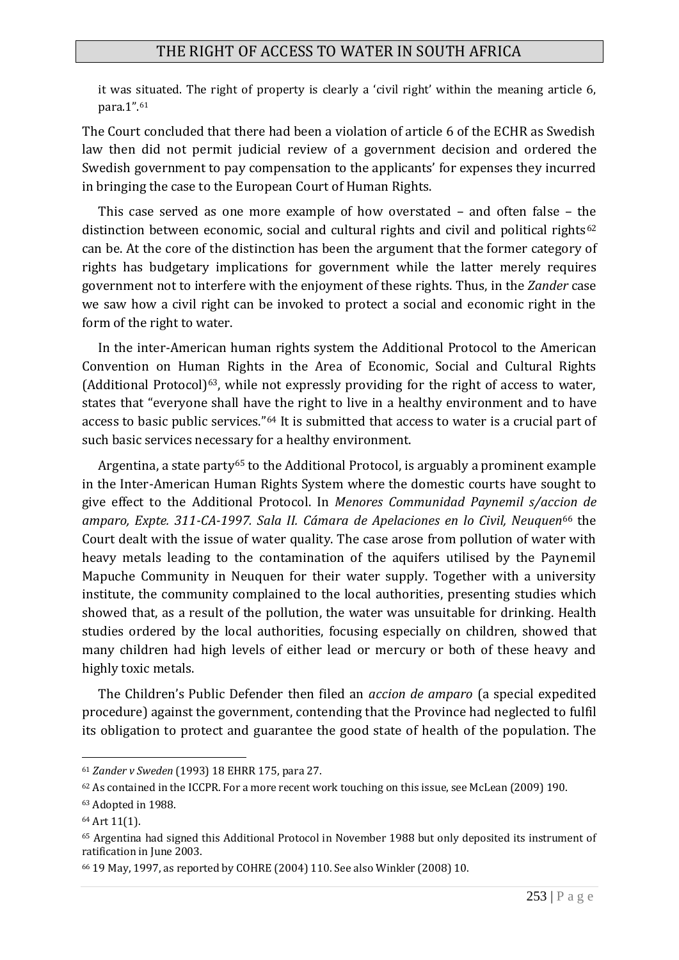it was situated. The right of property is clearly a 'civil right' within the meaning article 6, para.1". 61

The Court concluded that there had been a violation of article 6 of the ECHR as Swedish law then did not permit judicial review of a government decision and ordered the Swedish government to pay compensation to the applicants' for expenses they incurred in bringing the case to the European Court of Human Rights.

 This case served as one more example of how overstated – and often false – the distinction between economic, social and cultural rights and civil and political rights<sup>62</sup> can be. At the core of the distinction has been the argument that the former category of rights has budgetary implications for government while the latter merely requires government not to interfere with the enjoyment of these rights. Thus, in the *Zander* case we saw how a civil right can be invoked to protect a social and economic right in the form of the right to water.

In the inter-American human rights system the Additional Protocol to the American Convention on Human Rights in the Area of Economic, Social and Cultural Rights  $(Additional Protocol)^{63}$ , while not expressly providing for the right of access to water, states that "everyone shall have the right to live in a healthy environment and to have access to basic public services."<sup>64</sup> It is submitted that access to water is a crucial part of such basic services necessary for a healthy environment.

Argentina, a state party<sup>65</sup> to the Additional Protocol, is arguably a prominent example in the Inter-American Human Rights System where the domestic courts have sought to give effect to the Additional Protocol. In amparo, Expte. 311-CA-1997. Sala II. Cámara de Apelaciones en lo Civil, Neuquen<sup>66</sup> the Court dealt with the issue of water quality. The case arose from pollution of water with heavy metals leading to the contamination of the aquifers utilised by the Paynemil Mapuche Community in Neuquen for their water supply. Together with a university institute, the community complained to the local authorities, presenting studies which showed that, as a result of the pollution, the water was unsuitable for drinking. Health studies ordered by the local authorities, focusing especially on children, showed that many children had high levels of either lead or mercury or both of these heavy and highly toxic metals.

The Children's Public Defender then filed an *accion de amparo* (a special expedited procedure) against the government, contending that the Province had neglected to fulfil its obligation to protect and guarantee the good state of health of the population. The

<sup>61</sup> *Zander v Sweden* (1993) 18 EHRR 175, para 27.

<sup>62</sup> As contained in the ICCPR. For a more recent work touching on this issue, see McLean (2009) 190.

<sup>63</sup> Adopted in 1988.

<sup>64</sup> Art 11(1).

<sup>65</sup> Argentina had signed this Additional Protocol in November 1988 but only deposited its instrument of ratification in June 2003.

<sup>66</sup> 19 May, 1997, as reported by COHRE (2004) 110. See also Winkler (2008) 10.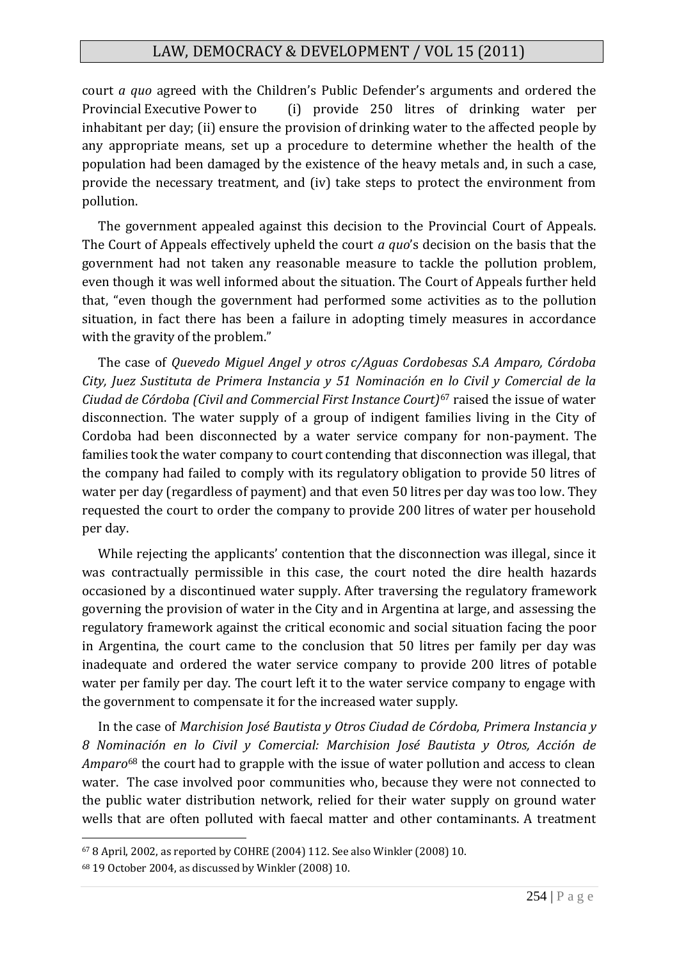court *a quo* agreed with the Children's Public Defender's arguments and ordered the Provincial Executive Power to (i) provide 250 litres of drinking water per inhabitant per day; (ii) ensure the provision of drinking water to the affected people by any appropriate means, set up a procedure to determine whether the health of the population had been damaged by the existence of the heavy metals and, in such a case, provide the necessary treatment, and (iv) take steps to protect the environment from pollution.

The government appealed against this decision to the Provincial Court of Appeals. The Court of Appeals effectively upheld the court *a quo*'s decision on the basis that the government had not taken any reasonable measure to tackle the pollution problem, even though it was well informed about the situation. The Court of Appeals further held that, "even though the government had performed some activities as to the pollution situation, in fact there has been a failure in adopting timely measures in accordance with the gravity of the problem."

The case of *Quevedo Miguel Angel y otros c/Aguas Cordobesas S.A Amparo, Córdoba City, Juez Sustituta de Primera Instancia y 51 Nominación en lo Civil y Comercial de la Ciudad de Córdoba (Civil and Commercial First Instance Court)*<sup>67</sup> raised the issue of water disconnection. The water supply of a group of indigent families living in the City of Cordoba had been disconnected by a water service company for non-payment. The families took the water company to court contending that disconnection was illegal, that the company had failed to comply with its regulatory obligation to provide 50 litres of water per day (regardless of payment) and that even 50 litres per day was too low. They requested the court to order the company to provide 200 litres of water per household per day.

While rejecting the applicants' contention that the disconnection was illegal, since it was contractually permissible in this case, the court noted the dire health hazards occasioned by a discontinued water supply. After traversing the regulatory framework governing the provision of water in the City and in Argentina at large, and assessing the regulatory framework against the critical economic and social situation facing the poor in Argentina, the court came to the conclusion that 50 litres per family per day was inadequate and ordered the water service company to provide 200 litres of potable water per family per day. The court left it to the water service company to engage with the government to compensate it for the increased water supply.

In the case of *Marchision José Bautista y Otros Ciudad de Córdoba, Primera Instancia y 8 Nominación en lo Civil y Comercial: Marchision José Bautista y Otros, Acción de Amparo*<sup>68</sup> the court had to grapple with the issue of water pollution and access to clean water. The case involved poor communities who, because they were not connected to the public water distribution network, relied for their water supply on ground water wells that are often polluted with faecal matter and other contaminants. A treatment

<sup>67</sup> 8 April, 2002, as reported by COHRE (2004) 112. See also Winkler (2008) 10.

<sup>68</sup> 19 October 2004, as discussed by Winkler (2008) 10.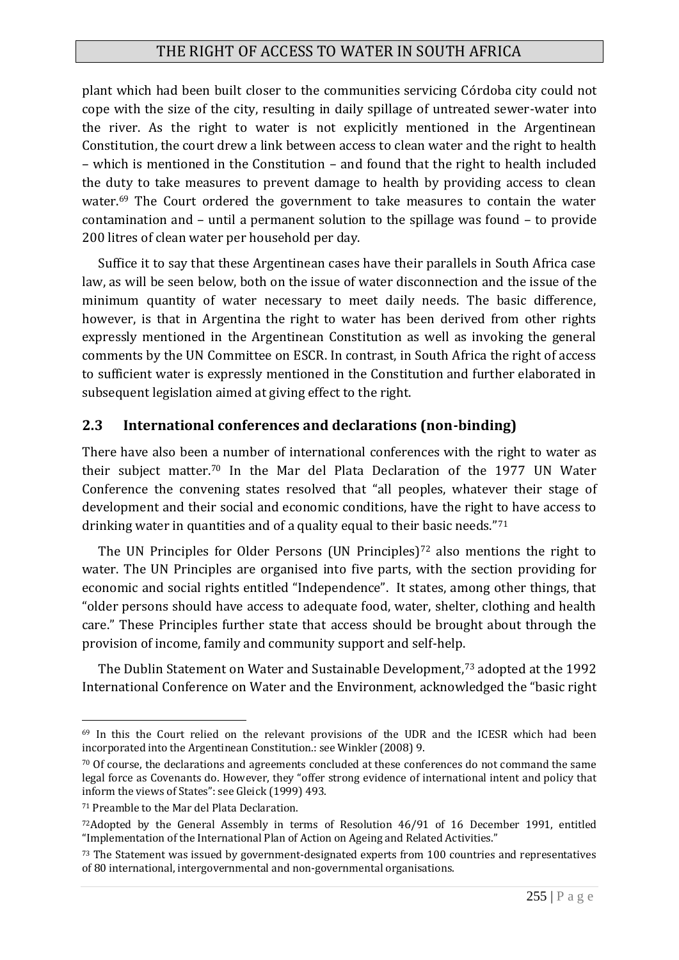plant which had been built closer to the communities servicing Córdoba city could not cope with the size of the city, resulting in daily spillage of untreated sewer-water into the river. As the right to water is not explicitly mentioned in the Argentinean Constitution, the court drew a link between access to clean water and the right to health – which is mentioned in the Constitution – and found that the right to health included the duty to take measures to prevent damage to health by providing access to clean water.<sup>69</sup> The Court ordered the government to take measures to contain the water contamination and – until a permanent solution to the spillage was found – to provide 200 litres of clean water per household per day.

Suffice it to say that these Argentinean cases have their parallels in South Africa case law, as will be seen below, both on the issue of water disconnection and the issue of the minimum quantity of water necessary to meet daily needs. The basic difference, however, is that in Argentina the right to water has been derived from other rights expressly mentioned in the Argentinean Constitution as well as invoking the general comments by the UN Committee on ESCR. In contrast, in South Africa the right of access to sufficient water is expressly mentioned in the Constitution and further elaborated in subsequent legislation aimed at giving effect to the right.

#### **2.3 International conferences and declarations (non-binding)**

There have also been a number of international conferences with the right to water as their subject matter.<sup>70</sup> In the Mar del Plata Declaration of the 1977 UN Water Conference the convening states resolved that "all peoples, whatever their stage of development and their social and economic conditions, have the right to have access to drinking water in quantities and of a quality equal to their basic needs."<sup>71</sup>

The UN Principles for Older Persons (UN Principles)<sup>72</sup> also mentions the right to water. The UN Principles are organised into five parts, with the section providing for economic and social rights entitled "Independence". It states, among other things, that "older persons should have access to adequate food, water, shelter, clothing and health care." These Principles further state that access should be brought about through the provision of income, family and community support and self-help.

The Dublin Statement on Water and Sustainable Development,<sup>73</sup> adopted at the 1992 International Conference on Water and the Environment, acknowledged the "basic right

 $69$  In this the Court relied on the relevant provisions of the UDR and the ICESR which had been incorporated into the Argentinean Constitution.: see Winkler (2008) 9.

<sup>70</sup> Of course, the declarations and agreements concluded at these conferences do not command the same legal force as Covenants do. However, they "offer strong evidence of international intent and policy that inform the views of States": see Gleick (1999) 493.

<sup>71</sup> Preamble to the Mar del Plata Declaration.

<sup>72</sup>Adopted by the General Assembly in terms of Resolution 46/91 of 16 December 1991, entitled "Implementation of the International Plan of Action on Ageing and Related Activities."

<sup>73</sup> The Statement was issued by government-designated experts from 100 countries and representatives of 80 international, intergovernmental and non-governmental organisations.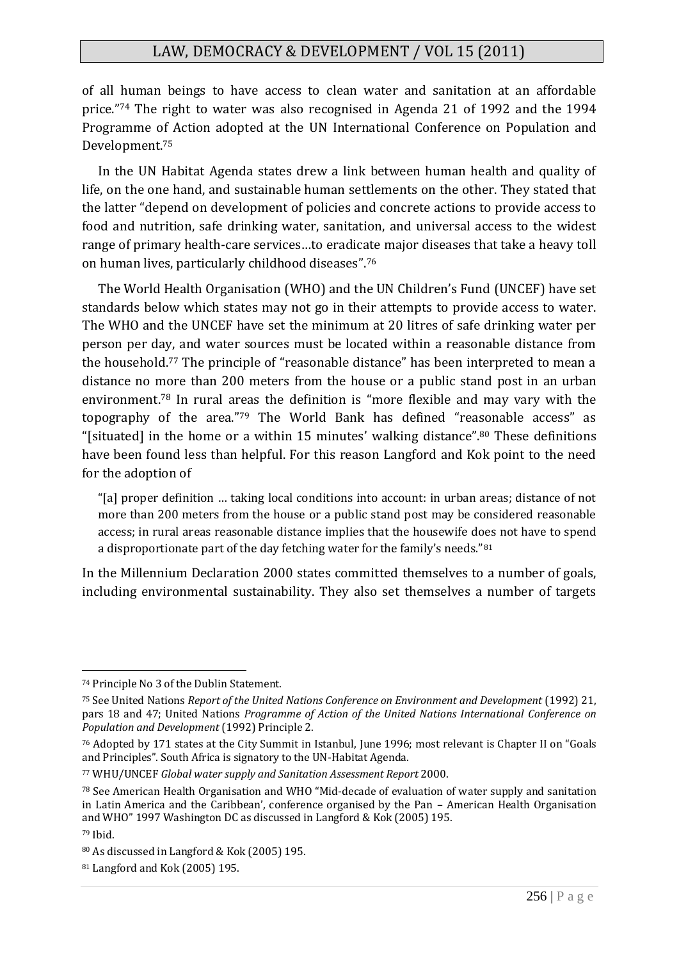of all human beings to have access to clean water and sanitation at an affordable price."<sup>74</sup> The right to water was also recognised in Agenda 21 of 1992 and the 1994 Programme of Action adopted at the UN International Conference on Population and Development.<sup>75</sup>

In the UN Habitat Agenda states drew a link between human health and quality of life, on the one hand, and sustainable human settlements on the other. They stated that the latter "depend on development of policies and concrete actions to provide access to food and nutrition, safe drinking water, sanitation, and universal access to the widest range of primary health-care services…to eradicate major diseases that take a heavy toll on human lives, particularly childhood diseases". 76

The World Health Organisation (WHO) and the UN Children's Fund (UNCEF) have set standards below which states may not go in their attempts to provide access to water. The WHO and the UNCEF have set the minimum at 20 litres of safe drinking water per person per day, and water sources must be located within a reasonable distance from the household.<sup>77</sup> The principle of "reasonable distance" has been interpreted to mean a distance no more than 200 meters from the house or a public stand post in an urban environment.<sup>78</sup> In rural areas the definition is "more flexible and may vary with the topography of the area."<sup>79</sup> The World Bank has defined "reasonable access" as "[situated] in the home or a within 15 minutes' walking distance".<sup>80</sup> These definitions have been found less than helpful. For this reason Langford and Kok point to the need for the adoption of

"[a] proper definition … taking local conditions into account: in urban areas; distance of not more than 200 meters from the house or a public stand post may be considered reasonable access; in rural areas reasonable distance implies that the housewife does not have to spend a disproportionate part of the day fetching water for the family's needs."<sup>81</sup>

In the Millennium Declaration 2000 states committed themselves to a number of goals, including environmental sustainability. They also set themselves a number of targets

<sup>74</sup> Principle No 3 of the Dublin Statement.

<sup>75</sup> See United Nations *Report of the United Nations Conference on Environment and Development* (1992) 21, pars 18 and 47; United Nations *Programme of Action of the United Nations International Conference on Population and Development* (1992) Principle 2.

<sup>76</sup> Adopted by 171 states at the City Summit in Istanbul, June 1996; most relevant is Chapter II on "Goals and Principles". South Africa is signatory to the UN-Habitat Agenda.

<sup>77</sup> WHU/UNCEF *Global water supply and Sanitation Assessment Report* 2000.

<sup>78</sup> See American Health Organisation and WHO "Mid-decade of evaluation of water supply and sanitation in Latin America and the Caribbean', conference organised by the Pan – American Health Organisation and WHO" 1997 Washington DC as discussed in Langford & Kok (2005) 195.

<sup>79</sup> Ibid.

<sup>80</sup> As discussed in Langford & Kok (2005) 195.

<sup>81</sup> Langford and Kok (2005) 195.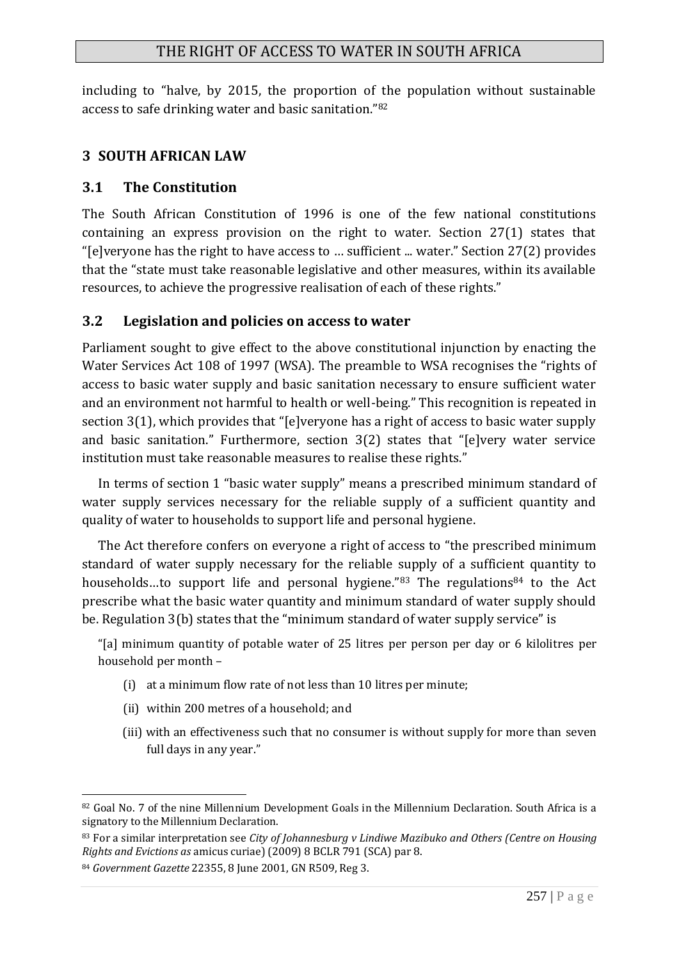including to "halve, by 2015, the proportion of the population without sustainable access to safe drinking water and basic sanitation."<sup>82</sup>

#### **3 SOUTH AFRICAN LAW**

#### **3.1 The Constitution**

The South African Constitution of 1996 is one of the few national constitutions containing an express provision on the right to water. Section 27(1) states that "[e]veryone has the right to have access to … sufficient ... water." Section 27(2) provides that the "state must take reasonable legislative and other measures, within its available resources, to achieve the progressive realisation of each of these rights."

#### **3.2 Legislation and policies on access to water**

Parliament sought to give effect to the above constitutional injunction by enacting the Water Services Act 108 of 1997 (WSA). The preamble to WSA recognises the "rights of access to basic water supply and basic sanitation necessary to ensure sufficient water and an environment not harmful to health or well-being." This recognition is repeated in section 3(1), which provides that "[e]veryone has a right of access to basic water supply and basic sanitation." Furthermore, section 3(2) states that "[e]very water service institution must take reasonable measures to realise these rights."

In terms of section 1 "basic water supply" means a prescribed minimum standard of water supply services necessary for the reliable supply of a sufficient quantity and quality of water to households to support life and personal hygiene.

The Act therefore confers on everyone a right of access to "the prescribed minimum standard of water supply necessary for the reliable supply of a sufficient quantity to households...to support life and personal hygiene." $83$  The regulations  $84$  to the Act prescribe what the basic water quantity and minimum standard of water supply should be. Regulation 3(b) states that the "minimum standard of water supply service" is

"[a] minimum quantity of potable water of 25 litres per person per day or 6 kilolitres per household per month –

- (i) at a minimum flow rate of not less than 10 litres per minute;
- (ii) within 200 metres of a household; and
- (iii) with an effectiveness such that no consumer is without supply for more than seven full days in any year."

<sup>82</sup> Goal No. 7 of the nine Millennium Development Goals in the Millennium Declaration. South Africa is a signatory to the Millennium Declaration.

<sup>83</sup> For a similar interpretation see *City of Johannesburg v Lindiwe Mazibuko and Others (Centre on Housing Rights and Evictions as* amicus curiae) (2009) 8 BCLR 791 (SCA) par 8.

<sup>84</sup> *Government Gazette* 22355, 8 June 2001, GN R509, Reg 3.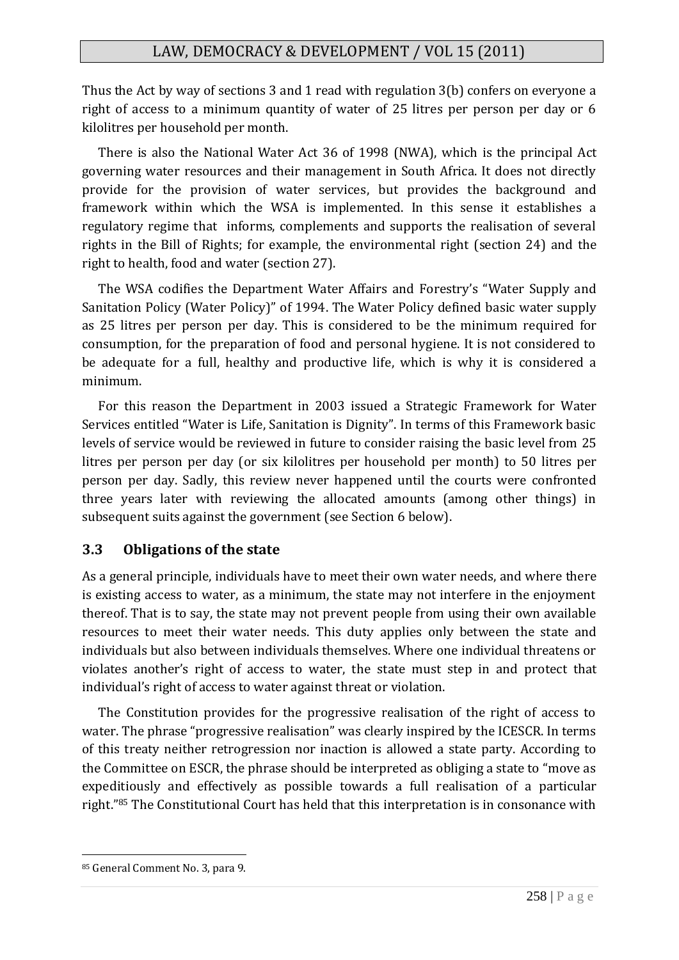Thus the Act by way of sections 3 and 1 read with regulation 3(b) confers on everyone a right of access to a minimum quantity of water of 25 litres per person per day or 6 kilolitres per household per month.

There is also the National Water Act 36 of 1998 (NWA), which is the principal Act governing water resources and their management in South Africa. It does not directly provide for the provision of water services, but provides the background and framework within which the WSA is implemented. In this sense it establishes a regulatory regime that informs, complements and supports the realisation of several rights in the Bill of Rights; for example, the environmental right (section 24) and the right to health, food and water (section 27).

The WSA codifies the Department Water Affairs and Forestry's "Water Supply and Sanitation Policy (Water Policy)" of 1994. The Water Policy defined basic water supply as 25 litres per person per day. This is considered to be the minimum required for consumption, for the preparation of food and personal hygiene. It is not considered to be adequate for a full, healthy and productive life, which is why it is considered a minimum.

For this reason the Department in 2003 issued a Strategic Framework for Water Services entitled "Water is Life, Sanitation is Dignity". In terms of this Framework basic levels of service would be reviewed in future to consider raising the basic level from 25 litres per person per day (or six kilolitres per household per month) to 50 litres per person per day. Sadly, this review never happened until the courts were confronted three years later with reviewing the allocated amounts (among other things) in subsequent suits against the government (see Section 6 below).

#### **3.3 Obligations of the state**

As a general principle, individuals have to meet their own water needs, and where there is existing access to water, as a minimum, the state may not interfere in the enjoyment thereof. That is to say, the state may not prevent people from using their own available resources to meet their water needs. This duty applies only between the state and individuals but also between individuals themselves. Where one individual threatens or violates another's right of access to water, the state must step in and protect that individual's right of access to water against threat or violation.

The Constitution provides for the progressive realisation of the right of access to water. The phrase "progressive realisation" was clearly inspired by the ICESCR. In terms of this treaty neither retrogression nor inaction is allowed a state party. According to the Committee on ESCR, the phrase should be interpreted as obliging a state to "move as expeditiously and effectively as possible towards a full realisation of a particular right."<sup>85</sup> The Constitutional Court has held that this interpretation is in consonance with

<sup>85</sup> General Comment No. 3, para 9.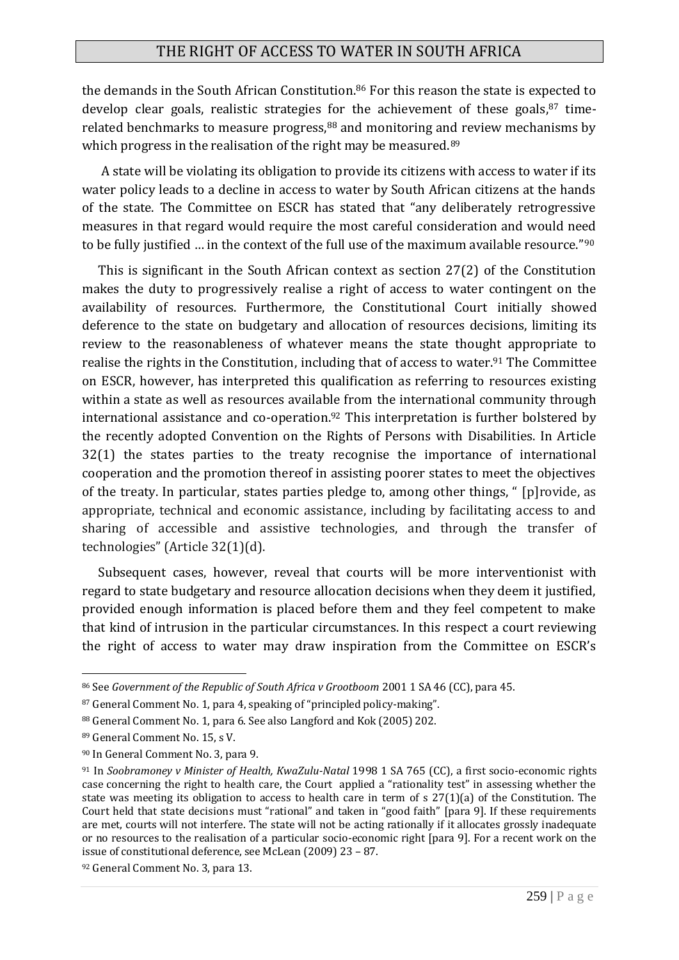the demands in the South African Constitution.<sup>86</sup> For this reason the state is expected to develop clear goals, realistic strategies for the achievement of these goals,<sup>87</sup> timerelated benchmarks to measure progress, $88$  and monitoring and review mechanisms by which progress in the realisation of the right may be measured.<sup>89</sup>

A state will be violating its obligation to provide its citizens with access to water if its water policy leads to a decline in access to water by South African citizens at the hands of the state. The Committee on ESCR has stated that "any deliberately retrogressive measures in that regard would require the most careful consideration and would need to be fully justified … in the context of the full use of the maximum available resource."<sup>90</sup>

This is significant in the South African context as section 27(2) of the Constitution makes the duty to progressively realise a right of access to water contingent on the availability of resources. Furthermore, the Constitutional Court initially showed deference to the state on budgetary and allocation of resources decisions, limiting its review to the reasonableness of whatever means the state thought appropriate to realise the rights in the Constitution, including that of access to water.<sup>91</sup> The Committee on ESCR, however, has interpreted this qualification as referring to resources existing within a state as well as resources available from the international community through international assistance and co-operation.<sup>92</sup> This interpretation is further bolstered by the recently adopted Convention on the Rights of Persons with Disabilities. In Article 32(1) the states parties to the treaty recognise the importance of international cooperation and the promotion thereof in assisting poorer states to meet the objectives of the treaty. In particular, states parties pledge to, among other things, " [p]rovide, as appropriate, technical and economic assistance, including by facilitating access to and sharing of accessible and assistive technologies, and through the transfer of technologies" (Article 32(1)(d).

Subsequent cases, however, reveal that courts will be more interventionist with regard to state budgetary and resource allocation decisions when they deem it justified, provided enough information is placed before them and they feel competent to make that kind of intrusion in the particular circumstances. In this respect a court reviewing the right of access to water may draw inspiration from the Committee on ESCR's

<sup>86</sup> See *Government of the Republic of South Africa v Grootboom* 2001 1 SA 46 (CC), para 45.

<sup>87</sup> General Comment No. 1, para 4, speaking of "principled policy-making".

<sup>88</sup> General Comment No. 1, para 6. See also Langford and Kok (2005) 202.

<sup>89</sup> General Comment No. 15, s V.

<sup>90</sup> In General Comment No. 3, para 9.

<sup>91</sup> In *Soobramoney v Minister of Health, KwaZulu-Natal* 1998 1 SA 765 (CC), a first socio-economic rights case concerning the right to health care, the Court applied a "rationality test" in assessing whether the state was meeting its obligation to access to health care in term of s 27(1)(a) of the Constitution. The Court held that state decisions must "rational" and taken in "good faith" [para 9]. If these requirements are met, courts will not interfere. The state will not be acting rationally if it allocates grossly inadequate or no resources to the realisation of a particular socio-economic right [para 9]. For a recent work on the issue of constitutional deference, see McLean (2009) 23 – 87.

<sup>92</sup> General Comment No. 3, para 13.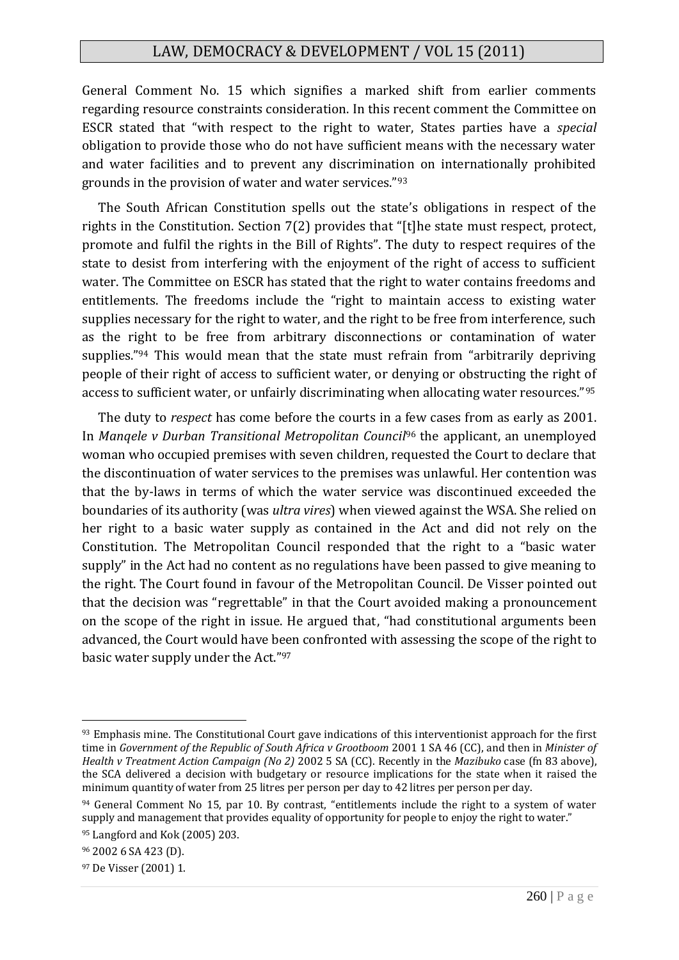General Comment No. 15 which signifies a marked shift from earlier comments regarding resource constraints consideration. In this recent comment the Committee on ESCR stated that "with respect to the right to water, States parties have a *special* obligation to provide those who do not have sufficient means with the necessary water and water facilities and to prevent any discrimination on internationally prohibited grounds in the provision of water and water services."<sup>93</sup>

The South African Constitution spells out the state's obligations in respect of the rights in the Constitution. Section 7(2) provides that "[t]he state must respect, protect, promote and fulfil the rights in the Bill of Rights". The duty to respect requires of the state to desist from interfering with the enjoyment of the right of access to sufficient water. The Committee on ESCR has stated that the right to water contains freedoms and entitlements. The freedoms include the "right to maintain access to existing water supplies necessary for the right to water, and the right to be free from interference, such as the right to be free from arbitrary disconnections or contamination of water supplies."<sup>94</sup> This would mean that the state must refrain from "arbitrarily depriving people of their right of access to sufficient water, or denying or obstructing the right of access to sufficient water, or unfairly discriminating when allocating water resources."<sup>95</sup>

The duty to *respect* has come before the courts in a few cases from as early as 2001. In *Manqele v Durban Transitional Metropolitan Council*<sup>96</sup> the applicant, an unemployed woman who occupied premises with seven children, requested the Court to declare that the discontinuation of water services to the premises was unlawful. Her contention was that the by-laws in terms of which the water service was discontinued exceeded the boundaries of its authority (was *ultra vires*) when viewed against the WSA. She relied on her right to a basic water supply as contained in the Act and did not rely on the Constitution. The Metropolitan Council responded that the right to a "basic water supply" in the Act had no content as no regulations have been passed to give meaning to the right. The Court found in favour of the Metropolitan Council. De Visser pointed out that the decision was "regrettable" in that the Court avoided making a pronouncement on the scope of the right in issue. He argued that, "had constitutional arguments been advanced, the Court would have been confronted with assessing the scope of the right to basic water supply under the Act."<sup>97</sup>

<sup>&</sup>lt;sup>93</sup> Emphasis mine. The Constitutional Court gave indications of this interventionist approach for the first time in *Government of the Republic of South Africa v Grootboom* 2001 1 SA 46 (CC), and then in *Minister of Health v Treatment Action Campaign (No 2)* 2002 5 SA (CC). Recently in the *Mazibuko* case (fn 83 above), the SCA delivered a decision with budgetary or resource implications for the state when it raised the minimum quantity of water from 25 litres per person per day to 42 litres per person per day.

<sup>94</sup> General Comment No 15, par 10. By contrast, "entitlements include the right to a system of water supply and management that provides equality of opportunity for people to enjoy the right to water."

<sup>95</sup> Langford and Kok (2005) 203.

<sup>96</sup> 2002 6 SA 423 (D).

<sup>97</sup> De Visser (2001) 1.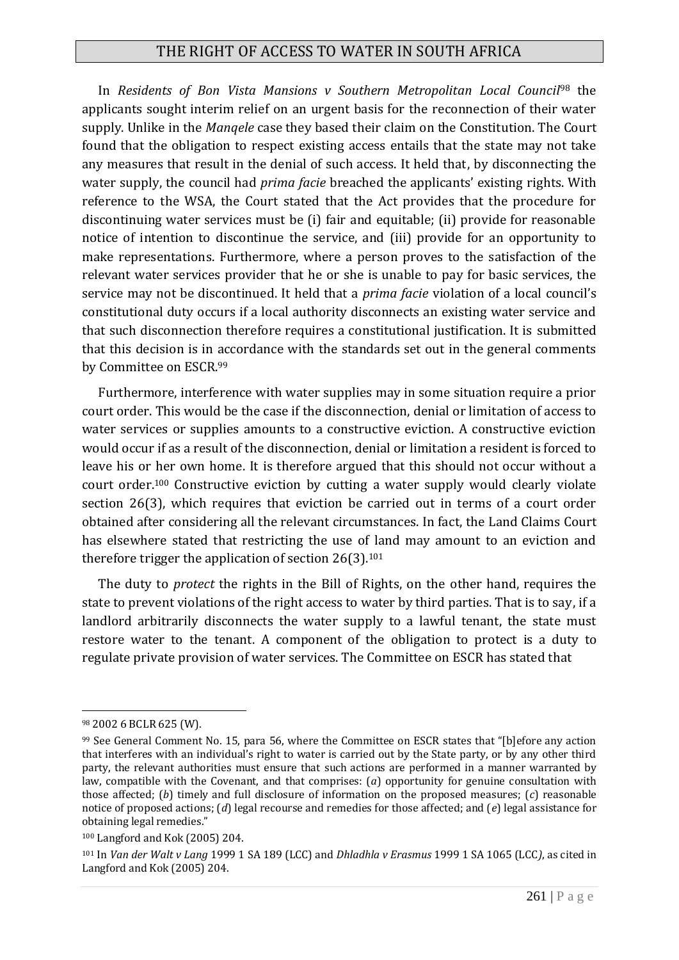In *Residents of Bon Vista Mansions v Southern Metropolitan Local Council*<sup>98</sup> the applicants sought interim relief on an urgent basis for the reconnection of their water supply. Unlike in the *Manqele* case they based their claim on the Constitution. The Court found that the obligation to respect existing access entails that the state may not take any measures that result in the denial of such access. It held that, by disconnecting the water supply, the council had *prima facie* breached the applicants' existing rights. With reference to the WSA, the Court stated that the Act provides that the procedure for discontinuing water services must be (i) fair and equitable; (ii) provide for reasonable notice of intention to discontinue the service, and (iii) provide for an opportunity to make representations. Furthermore, where a person proves to the satisfaction of the relevant water services provider that he or she is unable to pay for basic services, the service may not be discontinued. It held that a *prima facie* violation of a local council's constitutional duty occurs if a local authority disconnects an existing water service and that such disconnection therefore requires a constitutional justification. It is submitted that this decision is in accordance with the standards set out in the general comments by Committee on ESCR.<sup>99</sup>

Furthermore, interference with water supplies may in some situation require a prior court order. This would be the case if the disconnection, denial or limitation of access to water services or supplies amounts to a constructive eviction. A constructive eviction would occur if as a result of the disconnection, denial or limitation a resident is forced to leave his or her own home. It is therefore argued that this should not occur without a court order.<sup>100</sup> Constructive eviction by cutting a water supply would clearly violate section 26(3), which requires that eviction be carried out in terms of a court order obtained after considering all the relevant circumstances. In fact, the Land Claims Court has elsewhere stated that restricting the use of land may amount to an eviction and therefore trigger the application of section  $26(3)$ .<sup>101</sup>

The duty to *protect* the rights in the Bill of Rights, on the other hand, requires the state to prevent violations of the right access to water by third parties. That is to say, if a landlord arbitrarily disconnects the water supply to a lawful tenant, the state must restore water to the tenant. A component of the obligation to protect is a duty to regulate private provision of water services. The Committee on ESCR has stated that

<sup>98</sup> 2002 6 BCLR 625 (W).

<sup>99</sup> See General Comment No. 15, para 56, where the Committee on ESCR states that "[b]efore any action that interferes with an individual's right to water is carried out by the State party, or by any other third party, the relevant authorities must ensure that such actions are performed in a manner warranted by law, compatible with the Covenant, and that comprises: (*a*) opportunity for genuine consultation with those affected; (*b*) timely and full disclosure of information on the proposed measures; (*c*) reasonable notice of proposed actions; (*d*) legal recourse and remedies for those affected; and (*e*) legal assistance for obtaining legal remedies."

<sup>100</sup> Langford and Kok (2005) 204.

<sup>101</sup> In *Van der Walt v Lang* 1999 1 SA 189 (LCC) and *Dhladhla v Erasmus* 1999 1 SA 1065 (LCC*)*, as cited in Langford and Kok (2005) 204.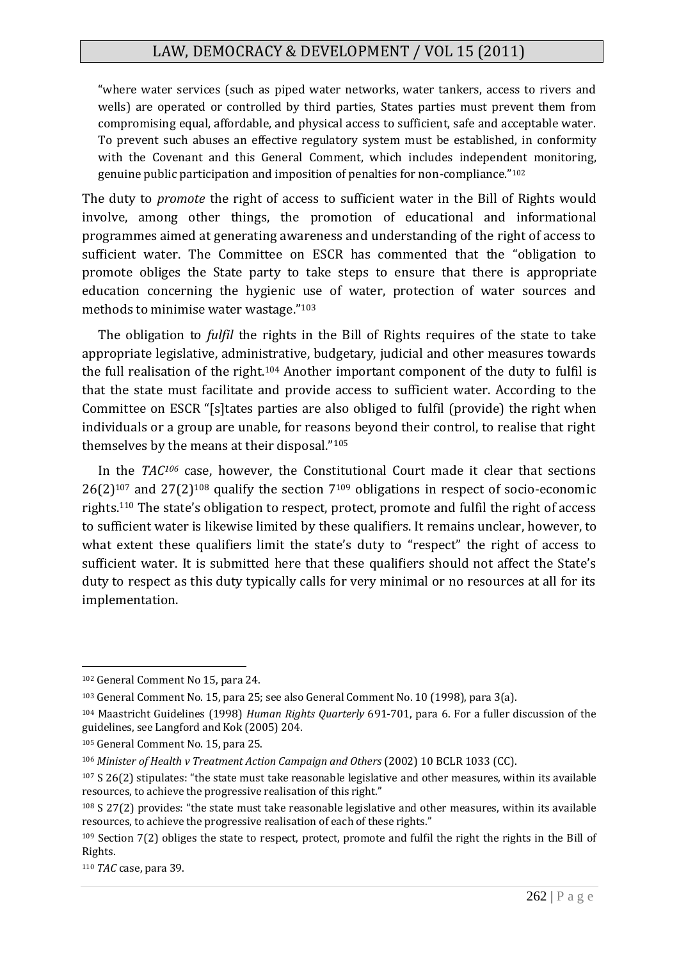"where water services (such as piped water networks, water tankers, access to rivers and wells) are operated or controlled by third parties, States parties must prevent them from compromising equal, affordable, and physical access to sufficient, safe and acceptable water. To prevent such abuses an effective regulatory system must be established, in conformity with the Covenant and this General Comment, which includes independent monitoring, genuine public participation and imposition of penalties for non-compliance."<sup>102</sup>

The duty to *promote* the right of access to sufficient water in the Bill of Rights would involve, among other things, the promotion of educational and informational programmes aimed at generating awareness and understanding of the right of access to sufficient water. The Committee on ESCR has commented that the "obligation to promote obliges the State party to take steps to ensure that there is appropriate education concerning the hygienic use of water, protection of water sources and methods to minimise water wastage."<sup>103</sup>

The obligation to *fulfil* the rights in the Bill of Rights requires of the state to take appropriate legislative, administrative, budgetary, judicial and other measures towards the full realisation of the right.<sup>104</sup> Another important component of the duty to fulfil is that the state must facilitate and provide access to sufficient water. According to the Committee on ESCR "[s]tates parties are also obliged to fulfil (provide) the right when individuals or a group are unable, for reasons beyond their control, to realise that right themselves by the means at their disposal."<sup>105</sup>

In the *TAC<sup>106</sup>* case, however, the Constitutional Court made it clear that sections  $26(2)^{107}$  and  $27(2)^{108}$  qualify the section  $7^{109}$  obligations in respect of socio-economic rights.<sup>110</sup> The state's obligation to respect, protect, promote and fulfil the right of access to sufficient water is likewise limited by these qualifiers. It remains unclear, however, to what extent these qualifiers limit the state's duty to "respect" the right of access to sufficient water. It is submitted here that these qualifiers should not affect the State's duty to respect as this duty typically calls for very minimal or no resources at all for its implementation.

<sup>102</sup> General Comment No 15, para 24.

<sup>103</sup> General Comment No. 15, para 25; see also General Comment No. 10 (1998), para 3(a).

<sup>104</sup> Maastricht Guidelines (1998) *Human Rights Quarterly* 691-701, para 6. For a fuller discussion of the guidelines, see Langford and Kok (2005) 204.

<sup>105</sup> General Comment No. 15, para 25.

<sup>106</sup> *Minister of Health v Treatment Action Campaign and Others* (2002) 10 BCLR 1033 (CC).

<sup>107</sup> S 26(2) stipulates: "the state must take reasonable legislative and other measures, within its available resources, to achieve the progressive realisation of this right."

<sup>108</sup> S 27(2) provides: "the state must take reasonable legislative and other measures, within its available resources, to achieve the progressive realisation of each of these rights."

<sup>109</sup> Section 7(2) obliges the state to respect, protect, promote and fulfil the right the rights in the Bill of Rights.

<sup>110</sup> *TAC* case, para 39.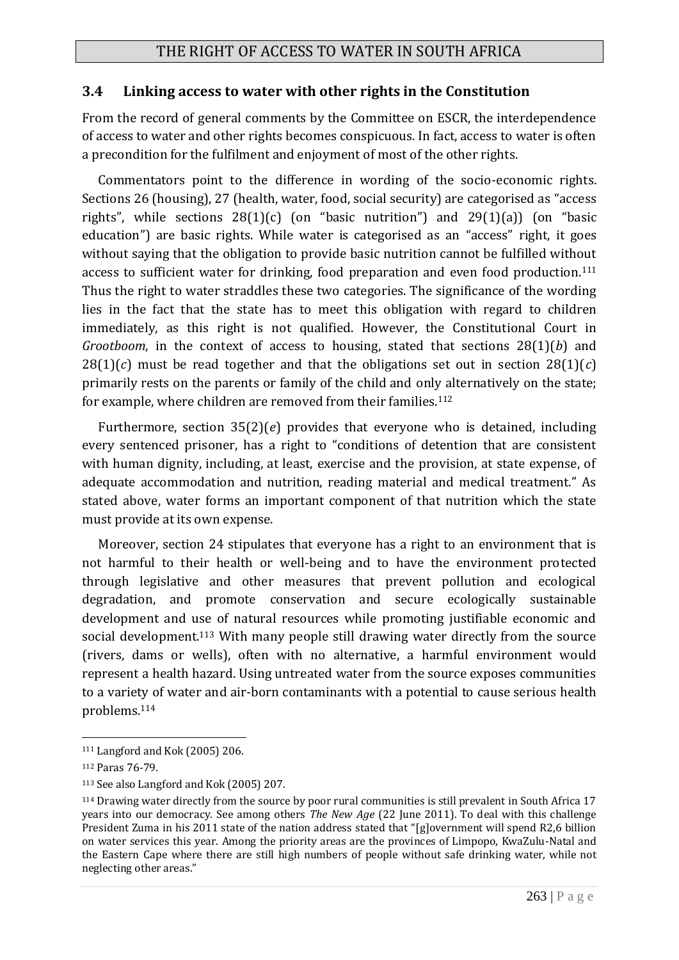## **3.4 Linking access to water with other rights in the Constitution**

From the record of general comments by the Committee on ESCR, the interdependence of access to water and other rights becomes conspicuous. In fact, access to water is often a precondition for the fulfilment and enjoyment of most of the other rights.

Commentators point to the difference in wording of the socio-economic rights. Sections 26 (housing), 27 (health, water, food, social security) are categorised as "access rights", while sections  $28(1)(c)$  (on "basic nutrition") and  $29(1)(a)$  (on "basic education") are basic rights. While water is categorised as an "access" right, it goes without saying that the obligation to provide basic nutrition cannot be fulfilled without access to sufficient water for drinking, food preparation and even food production.<sup>111</sup> Thus the right to water straddles these two categories. The significance of the wording lies in the fact that the state has to meet this obligation with regard to children immediately, as this right is not qualified. However, the Constitutional Court in *Grootboom*, in the context of access to housing, stated that sections 28(1)(*b*) and 28(1)(*c*) must be read together and that the obligations set out in section 28(1)(*c*) primarily rests on the parents or family of the child and only alternatively on the state; for example, where children are removed from their families.<sup>112</sup>

Furthermore, section 35(2)(*e*) provides that everyone who is detained, including every sentenced prisoner, has a right to "conditions of detention that are consistent with human dignity, including, at least, exercise and the provision, at state expense, of adequate accommodation and nutrition, reading material and medical treatment." As stated above, water forms an important component of that nutrition which the state must provide at its own expense.

Moreover, section 24 stipulates that everyone has a right to an environment that is not harmful to their health or well-being and to have the environment protected through legislative and other measures that prevent pollution and ecological degradation, and promote conservation and secure ecologically sustainable development and use of natural resources while promoting justifiable economic and social development.<sup>113</sup> With many people still drawing water directly from the source (rivers, dams or wells), often with no alternative, a harmful environment would represent a health hazard. Using untreated water from the source exposes communities to a variety of water and air-born contaminants with a potential to cause serious health problems.<sup>114</sup>

<sup>&</sup>lt;u>.</u> <sup>111</sup> Langford and Kok (2005) 206.

<sup>112</sup> Paras 76-79.

<sup>113</sup> See also Langford and Kok (2005) 207.

<sup>114</sup> Drawing water directly from the source by poor rural communities is still prevalent in South Africa 17 years into our democracy. See among others *The New Age* (22 June 2011). To deal with this challenge President Zuma in his 2011 state of the nation address stated that "[g]overnment will spend R2,6 billion on water services this year. Among the priority areas are the provinces of Limpopo, KwaZulu-Natal and the Eastern Cape where there are still high numbers of people without safe drinking water, while not neglecting other areas."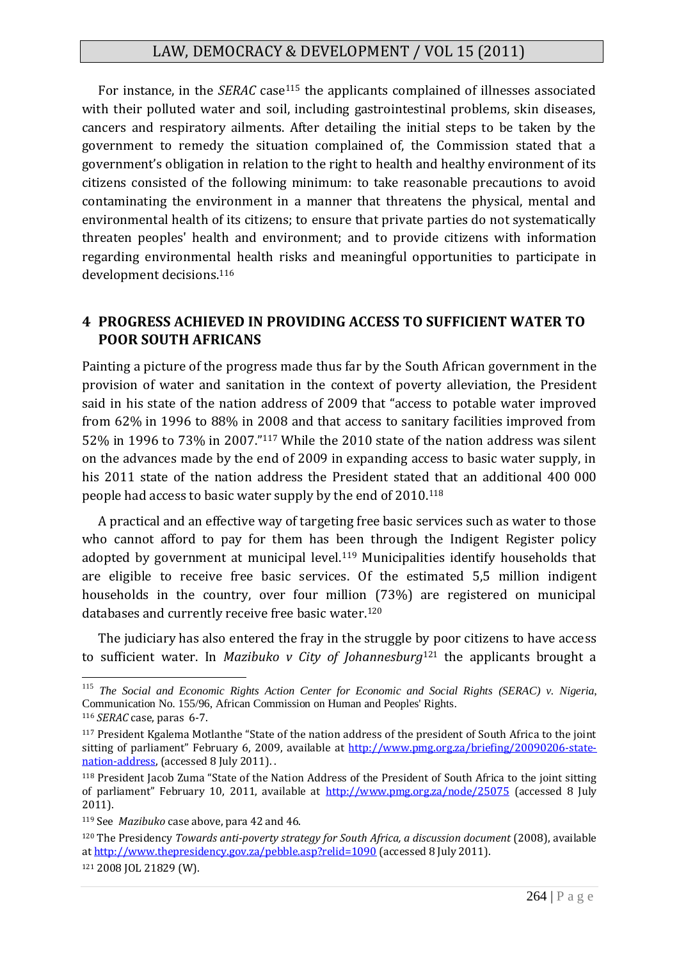For instance, in the *SERAC* case<sup>115</sup> the applicants complained of illnesses associated with their polluted water and soil, including gastrointestinal problems, skin diseases, cancers and respiratory ailments. After detailing the initial steps to be taken by the government to remedy the situation complained of, the Commission stated that a government's obligation in relation to the right to health and healthy environment of its citizens consisted of the following minimum: to take reasonable precautions to avoid contaminating the environment in a manner that threatens the physical, mental and environmental health of its citizens; to ensure that private parties do not systematically threaten peoples' health and environment; and to provide citizens with information regarding environmental health risks and meaningful opportunities to participate in development decisions.<sup>116</sup>

#### **4 PROGRESS ACHIEVED IN PROVIDING ACCESS TO SUFFICIENT WATER TO POOR SOUTH AFRICANS**

Painting a picture of the progress made thus far by the South African government in the provision of water and sanitation in the context of poverty alleviation, the President said in his state of the nation address of 2009 that "access to potable water improved from 62% in 1996 to 88% in 2008 and that access to sanitary facilities improved from 52% in 1996 to 73% in 2007."<sup>117</sup> While the 2010 state of the nation address was silent on the advances made by the end of 2009 in expanding access to basic water supply, in his 2011 state of the nation address the President stated that an additional 400 000 people had access to basic water supply by the end of 2010.<sup>118</sup>

A practical and an effective way of targeting free basic services such as water to those who cannot afford to pay for them has been through the Indigent Register policy adopted by government at municipal level.<sup>119</sup> Municipalities identify households that are eligible to receive free basic services. Of the estimated 5,5 million indigent households in the country, over four million (73%) are registered on municipal databases and currently receive free basic water.<sup>120</sup>

The judiciary has also entered the fray in the struggle by poor citizens to have access to sufficient water. In *Mazibuko v City of Johannesburg*<sup>121</sup> the applicants brought a

<sup>115</sup> *The Social and Economic Rights Action Center for Economic and Social Rights (SERAC) v. Nigeria*, Communication No. 155/96, African Commission on Human and Peoples' Rights. <sup>116</sup> *SERAC* case, paras 6-7.

<sup>117</sup> President Kgalema Motlanthe "State of the nation address of the president of South Africa to the joint sitting of parliament" February 6, 2009, available at [http://www.pmg.org.za/briefing/20090206-state](http://www.pmg.org.za/briefing/20090206-state-nation-address)[nation-address,](http://www.pmg.org.za/briefing/20090206-state-nation-address) (accessed 8 July 2011)...

<sup>118</sup> President Jacob Zuma "State of the Nation Address of the President of South Africa to the joint sitting of parliament" February 10, 2011, available at <http://www.pmg.org.za/node/25075> (accessed 8 July 2011).

<sup>119</sup> See *Mazibuko* case above, para 42 and 46.

<sup>120</sup> The Presidency *Towards anti-poverty strategy for South Africa, a discussion document* (2008), available a[t http://www.thepresidency.gov.za/pebble.asp?relid=1090](http://www.thepresidency.gov.za/pebble.asp?relid=1090) (accessed 8 July 2011).

<sup>121</sup> 2008 JOL 21829 (W).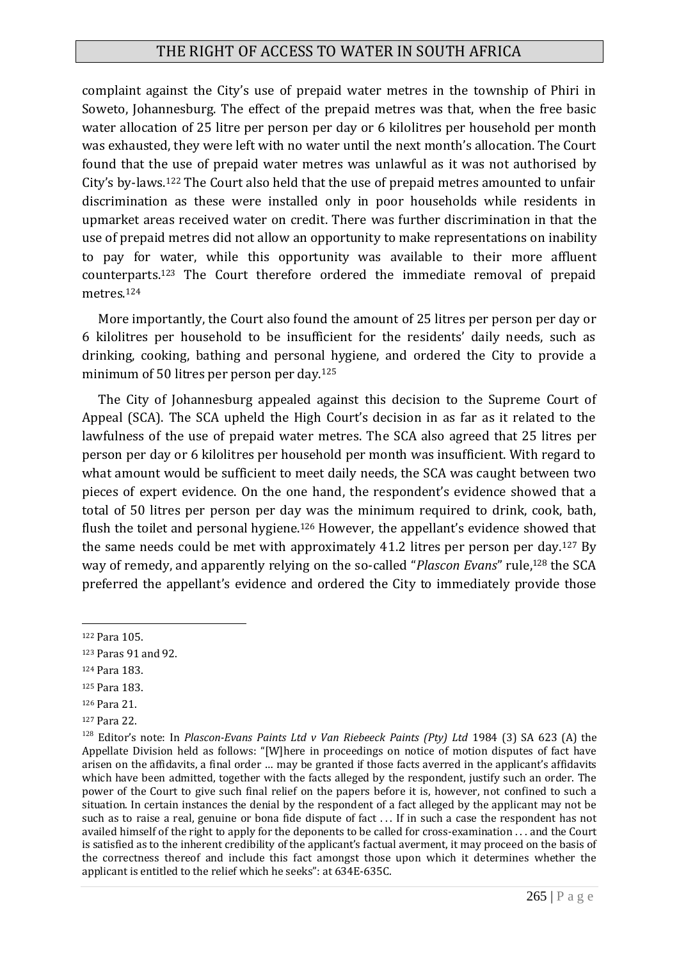complaint against the City's use of prepaid water metres in the township of Phiri in Soweto, Johannesburg. The effect of the prepaid metres was that, when the free basic water allocation of 25 litre per person per day or 6 kilolitres per household per month was exhausted, they were left with no water until the next month's allocation. The Court found that the use of prepaid water metres was unlawful as it was not authorised by City's by-laws.<sup>122</sup> The Court also held that the use of prepaid metres amounted to unfair discrimination as these were installed only in poor households while residents in upmarket areas received water on credit. There was further discrimination in that the use of prepaid metres did not allow an opportunity to make representations on inability to pay for water, while this opportunity was available to their more affluent counterparts.<sup>123</sup> The Court therefore ordered the immediate removal of prepaid metres.<sup>124</sup>

More importantly, the Court also found the amount of 25 litres per person per day or 6 kilolitres per household to be insufficient for the residents' daily needs, such as drinking, cooking, bathing and personal hygiene, and ordered the City to provide a minimum of 50 litres per person per day.<sup>125</sup>

The City of Johannesburg appealed against this decision to the Supreme Court of Appeal (SCA). The SCA upheld the High Court's decision in as far as it related to the lawfulness of the use of prepaid water metres. The SCA also agreed that 25 litres per person per day or 6 kilolitres per household per month was insufficient. With regard to what amount would be sufficient to meet daily needs, the SCA was caught between two pieces of expert evidence. On the one hand, the respondent's evidence showed that a total of 50 litres per person per day was the minimum required to drink, cook, bath, flush the toilet and personal hygiene.<sup>126</sup> However, the appellant's evidence showed that the same needs could be met with approximately 41.2 litres per person per day.<sup>127</sup> By way of remedy, and apparently relying on the so-called "*Plascon Evans*" rule,<sup>128</sup> the SCA preferred the appellant's evidence and ordered the City to immediately provide those

- <sup>124</sup> Para 183.
- <sup>125</sup> Para 183.
- <sup>126</sup> Para 21.
- <sup>127</sup> Para 22.

<sup>122</sup> Para 105.

<sup>123</sup> Paras 91 and 92.

<sup>128</sup> Editor's note: In *Plascon-Evans Paints Ltd v Van Riebeeck Paints (Pty) Ltd* 1984 (3) SA 623 (A) the Appellate Division held as follows: "[W]here in proceedings on notice of motion disputes of fact have arisen on the affidavits, a final order … may be granted if those facts averred in the applicant's affidavits which have been admitted, together with the facts alleged by the respondent, justify such an order. The power of the Court to give such final relief on the papers before it is, however, not confined to such a situation. In certain instances the denial by the respondent of a fact alleged by the applicant may not be such as to raise a real, genuine or bona fide dispute of fact ... If in such a case the respondent has not availed himself of the right to apply for the deponents to be called for cross-examination . . . and the Court is satisfied as to the inherent credibility of the applicant's factual averment, it may proceed on the basis of the correctness thereof and include this fact amongst those upon which it determines whether the applicant is entitled to the relief which he seeks": at 634E-635C.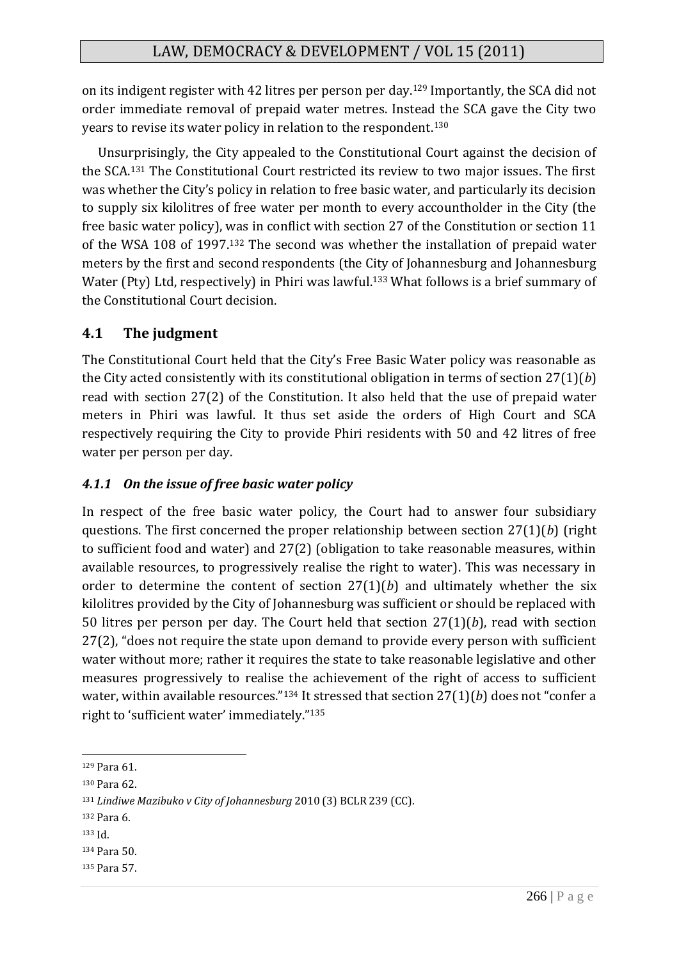on its indigent register with 42 litres per person per day.<sup>129</sup> Importantly, the SCA did not order immediate removal of prepaid water metres. Instead the SCA gave the City two years to revise its water policy in relation to the respondent.<sup>130</sup>

Unsurprisingly, the City appealed to the Constitutional Court against the decision of the SCA.<sup>131</sup> The Constitutional Court restricted its review to two major issues. The first was whether the City's policy in relation to free basic water, and particularly its decision to supply six kilolitres of free water per month to every accountholder in the City (the free basic water policy), was in conflict with section 27 of the Constitution or section 11 of the WSA 108 of 1997.<sup>132</sup> The second was whether the installation of prepaid water meters by the first and second respondents (the City of Johannesburg and Johannesburg Water (Pty) Ltd, respectively) in Phiri was lawful.<sup>133</sup> What follows is a brief summary of the Constitutional Court decision.

#### **4.1 The judgment**

The Constitutional Court held that the City's Free Basic Water policy was reasonable as the City acted consistently with its constitutional obligation in terms of section 27(1)(*b*) read with section 27(2) of the Constitution. It also held that the use of prepaid water meters in Phiri was lawful. It thus set aside the orders of High Court and SCA respectively requiring the City to provide Phiri residents with 50 and 42 litres of free water per person per day.

#### *4.1.1 On the issue of free basic water policy*

In respect of the free basic water policy, the Court had to answer four subsidiary questions. The first concerned the proper relationship between section 27(1)(*b*) (right to sufficient food and water) and 27(2) (obligation to take reasonable measures, within available resources, to progressively realise the right to water). This was necessary in order to determine the content of section  $27(1)(b)$  and ultimately whether the six kilolitres provided by the City of Johannesburg was sufficient or should be replaced with 50 litres per person per day. The Court held that section 27(1)(*b*), read with section 27(2), "does not require the state upon demand to provide every person with sufficient water without more; rather it requires the state to take reasonable legislative and other measures progressively to realise the achievement of the right of access to sufficient water, within available resources."<sup>134</sup> It stressed that section 27(1)(*b*) does not "confer a right to 'sufficient water' immediately."<sup>135</sup>

<sup>129</sup> Para 61.

<sup>130</sup> Para 62.

<sup>131</sup> *Lindiwe Mazibuko v City of Johannesburg* 2010 (3) BCLR 239 (CC).

<sup>132</sup> Para 6.

<sup>133</sup> Id.

<sup>134</sup> Para 50.

<sup>135</sup> Para 57.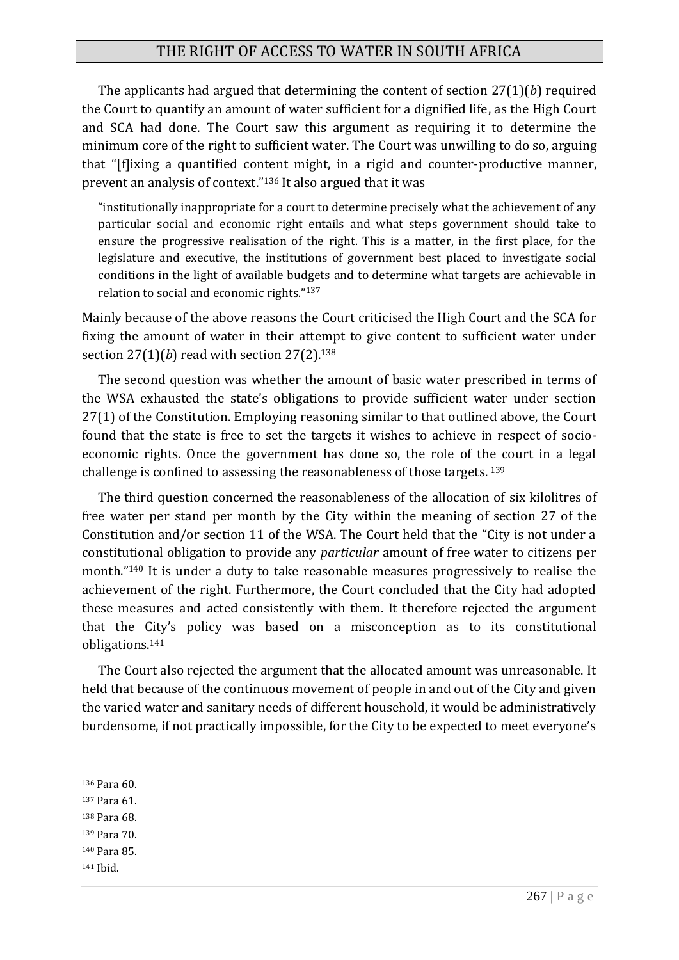The applicants had argued that determining the content of section 27(1)(*b*) required the Court to quantify an amount of water sufficient for a dignified life, as the High Court and SCA had done. The Court saw this argument as requiring it to determine the minimum core of the right to sufficient water. The Court was unwilling to do so, arguing that "[f]ixing a quantified content might, in a rigid and counter-productive manner, prevent an analysis of context."<sup>136</sup> It also argued that it was

"institutionally inappropriate for a court to determine precisely what the achievement of any particular social and economic right entails and what steps government should take to ensure the progressive realisation of the right. This is a matter, in the first place, for the legislature and executive, the institutions of government best placed to investigate social conditions in the light of available budgets and to determine what targets are achievable in relation to social and economic rights."<sup>137</sup>

Mainly because of the above reasons the Court criticised the High Court and the SCA for fixing the amount of water in their attempt to give content to sufficient water under section  $27(1)(b)$  read with section  $27(2)$ .<sup>138</sup>

The second question was whether the amount of basic water prescribed in terms of the WSA exhausted the state's obligations to provide sufficient water under section 27(1) of the Constitution. Employing reasoning similar to that outlined above, the Court found that the state is free to set the targets it wishes to achieve in respect of socioeconomic rights. Once the government has done so, the role of the court in a legal challenge is confined to assessing the reasonableness of those targets. <sup>139</sup>

The third question concerned the reasonableness of the allocation of six kilolitres of free water per stand per month by the City within the meaning of section 27 of the Constitution and/or section 11 of the WSA. The Court held that the "City is not under a constitutional obligation to provide any *particular* amount of free water to citizens per month."<sup>140</sup> It is under a duty to take reasonable measures progressively to realise the achievement of the right. Furthermore, the Court concluded that the City had adopted these measures and acted consistently with them. It therefore rejected the argument that the City's policy was based on a misconception as to its constitutional obligations.<sup>141</sup>

The Court also rejected the argument that the allocated amount was unreasonable. It held that because of the continuous movement of people in and out of the City and given the varied water and sanitary needs of different household, it would be administratively burdensome, if not practically impossible, for the City to be expected to meet everyone's

- <sup>137</sup> Para 61.
- <sup>138</sup> Para 68.
- <sup>139</sup> Para 70.
- <sup>140</sup> Para 85.
- <sup>141</sup> Ibid.

<sup>136</sup> Para 60.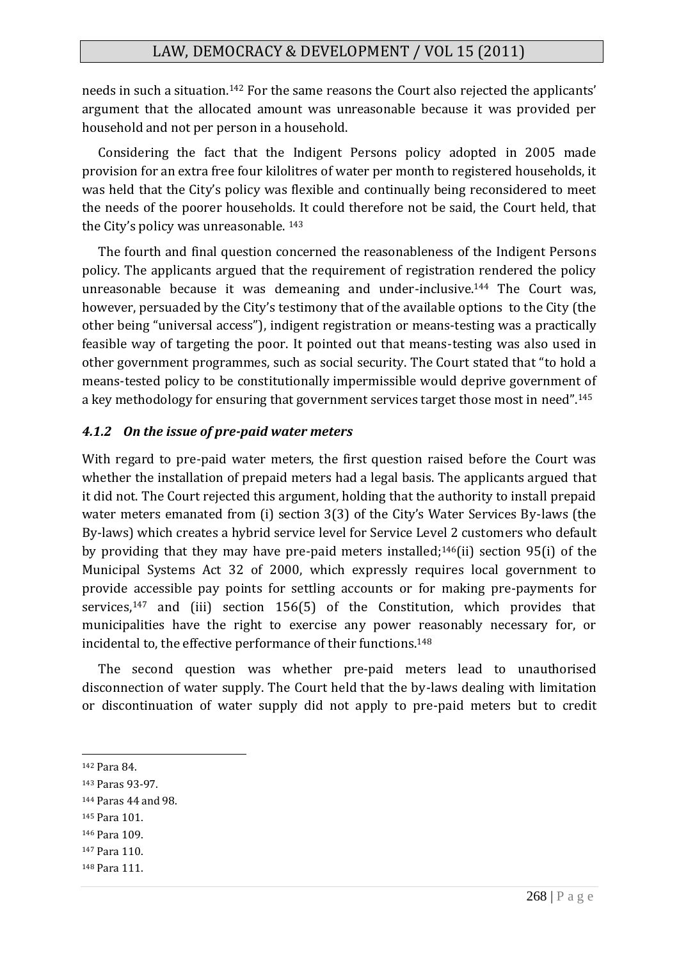needs in such a situation.<sup>142</sup> For the same reasons the Court also rejected the applicants' argument that the allocated amount was unreasonable because it was provided per household and not per person in a household.

Considering the fact that the Indigent Persons policy adopted in 2005 made provision for an extra free four kilolitres of water per month to registered households, it was held that the City's policy was flexible and continually being reconsidered to meet the needs of the poorer households. It could therefore not be said, the Court held, that the City's policy was unreasonable. <sup>143</sup>

The fourth and final question concerned the reasonableness of the Indigent Persons policy. The applicants argued that the requirement of registration rendered the policy unreasonable because it was demeaning and under-inclusive.<sup>144</sup> The Court was, however, persuaded by the City's testimony that of the available options to the City (the other being "universal access"), indigent registration or means-testing was a practically feasible way of targeting the poor. It pointed out that means-testing was also used in other government programmes, such as social security. The Court stated that "to hold a means-tested policy to be constitutionally impermissible would deprive government of a key methodology for ensuring that government services target those most in need".<sup>145</sup>

#### *4.1.2 On the issue of pre-paid water meters*

With regard to pre-paid water meters, the first question raised before the Court was whether the installation of prepaid meters had a legal basis. The applicants argued that it did not. The Court rejected this argument, holding that the authority to install prepaid water meters emanated from (i) section 3(3) of the City's Water Services By-laws (the By-laws) which creates a hybrid service level for Service Level 2 customers who default by providing that they may have pre-paid meters installed;146(ii) section 95(i) of the Municipal Systems Act 32 of 2000, which expressly requires local government to provide accessible pay points for settling accounts or for making pre-payments for services,<sup>147</sup> and (iii) section 156(5) of the Constitution, which provides that municipalities have the right to exercise any power reasonably necessary for, or incidental to, the effective performance of their functions.<sup>148</sup>

The second question was whether pre-paid meters lead to unauthorised disconnection of water supply. The Court held that the by-laws dealing with limitation or discontinuation of water supply did not apply to pre-paid meters but to credit

- <sup>145</sup> Para 101.
- <sup>146</sup> Para 109.
- <sup>147</sup> Para 110.

<sup>142</sup> Para 84.

<sup>143</sup> Paras 93-97.

<sup>144</sup> Paras 44 and 98.

<sup>148</sup> Para 111.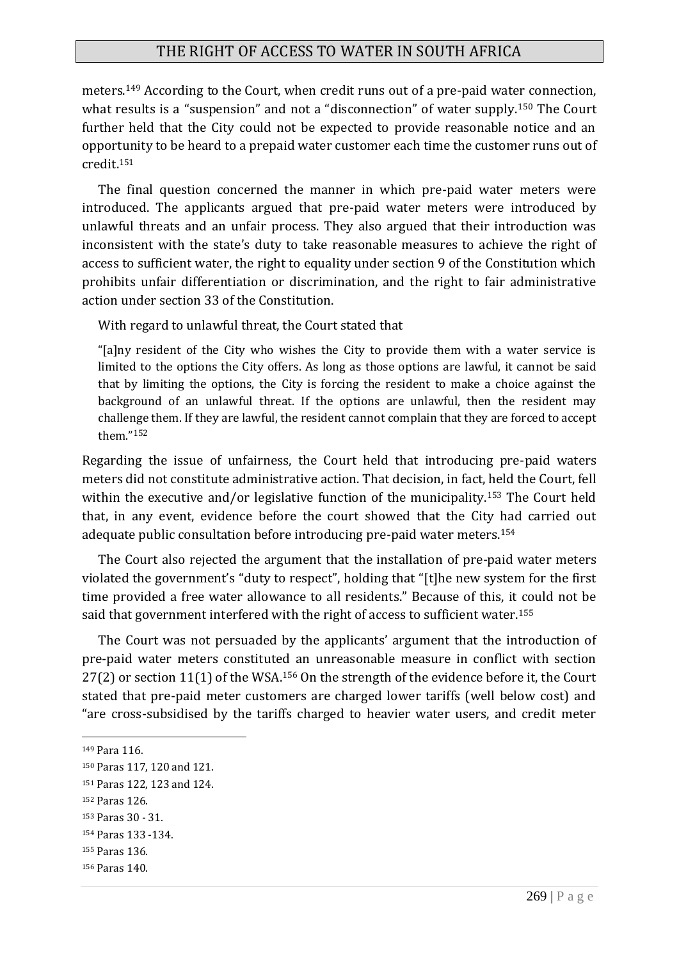meters.<sup>149</sup> According to the Court, when credit runs out of a pre-paid water connection, what results is a "suspension" and not a "disconnection" of water supply.<sup>150</sup> The Court further held that the City could not be expected to provide reasonable notice and an opportunity to be heard to a prepaid water customer each time the customer runs out of credit.<sup>151</sup>

The final question concerned the manner in which pre-paid water meters were introduced. The applicants argued that pre-paid water meters were introduced by unlawful threats and an unfair process. They also argued that their introduction was inconsistent with the state's duty to take reasonable measures to achieve the right of access to sufficient water, the right to equality under section 9 of the Constitution which prohibits unfair differentiation or discrimination, and the right to fair administrative action under section 33 of the Constitution.

With regard to unlawful threat, the Court stated that

"[a]ny resident of the City who wishes the City to provide them with a water service is limited to the options the City offers. As long as those options are lawful, it cannot be said that by limiting the options, the City is forcing the resident to make a choice against the background of an unlawful threat. If the options are unlawful, then the resident may challenge them. If they are lawful, the resident cannot complain that they are forced to accept them."<sup>152</sup>

Regarding the issue of unfairness, the Court held that introducing pre-paid waters meters did not constitute administrative action. That decision, in fact, held the Court, fell within the executive and/or legislative function of the municipality.<sup>153</sup> The Court held that, in any event, evidence before the court showed that the City had carried out adequate public consultation before introducing pre-paid water meters.<sup>154</sup>

The Court also rejected the argument that the installation of pre-paid water meters violated the government's "duty to respect", holding that "[t]he new system for the first time provided a free water allowance to all residents." Because of this, it could not be said that government interfered with the right of access to sufficient water.<sup>155</sup>

The Court was not persuaded by the applicants' argument that the introduction of pre-paid water meters constituted an unreasonable measure in conflict with section 27(2) or section 11(1) of the WSA. <sup>156</sup> On the strength of the evidence before it, the Court stated that pre-paid meter customers are charged lower tariffs (well below cost) and "are cross-subsidised by the tariffs charged to heavier water users, and credit meter

<sup>149</sup> Para 116.

<sup>150</sup> Paras 117, 120 and 121.

<sup>151</sup> Paras 122, 123 and 124.

<sup>152</sup> Paras 126.

<sup>153</sup> Paras 30 - 31.

<sup>154</sup> Paras 133 -134.

<sup>155</sup> Paras 136.

<sup>156</sup> Paras 140.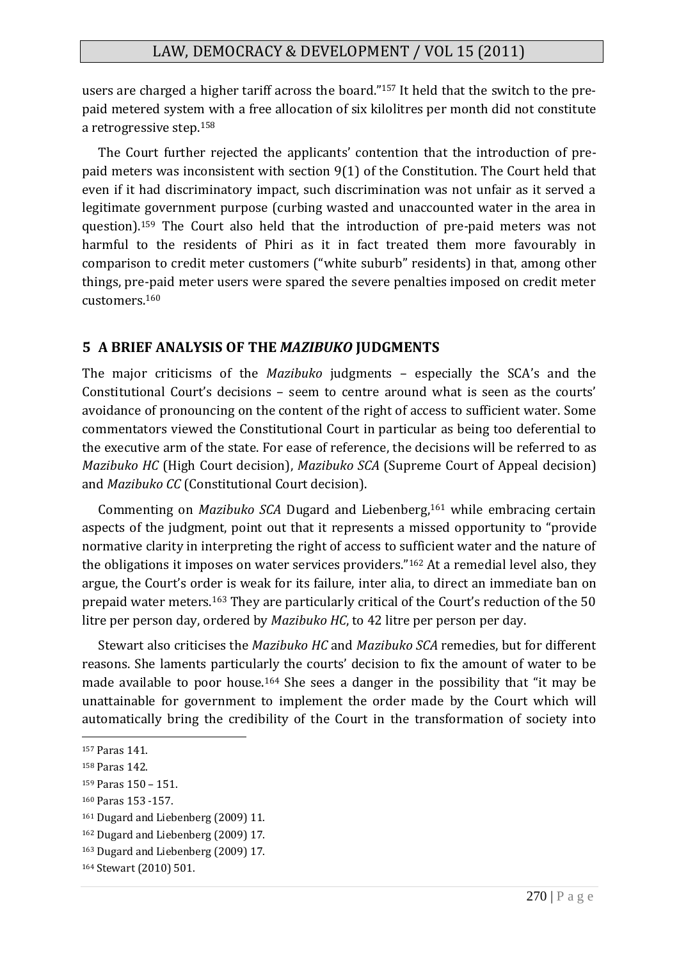users are charged a higher tariff across the board."<sup>157</sup> It held that the switch to the prepaid metered system with a free allocation of six kilolitres per month did not constitute a retrogressive step.<sup>158</sup>

The Court further rejected the applicants' contention that the introduction of prepaid meters was inconsistent with section 9(1) of the Constitution. The Court held that even if it had discriminatory impact, such discrimination was not unfair as it served a legitimate government purpose (curbing wasted and unaccounted water in the area in question).<sup>159</sup> The Court also held that the introduction of pre-paid meters was not harmful to the residents of Phiri as it in fact treated them more favourably in comparison to credit meter customers ("white suburb" residents) in that, among other things, pre-paid meter users were spared the severe penalties imposed on credit meter customers.<sup>160</sup>

#### **5 A BRIEF ANALYSIS OF THE** *MAZIBUKO* **JUDGMENTS**

The major criticisms of the *Mazibuko* judgments – especially the SCA's and the Constitutional Court's decisions – seem to centre around what is seen as the courts' avoidance of pronouncing on the content of the right of access to sufficient water. Some commentators viewed the Constitutional Court in particular as being too deferential to the executive arm of the state. For ease of reference, the decisions will be referred to as *Mazibuko HC* (High Court decision), *Mazibuko SCA* (Supreme Court of Appeal decision) and *Mazibuko CC* (Constitutional Court decision).

Commenting on *Mazibuko SCA* Dugard and Liebenberg, <sup>161</sup> while embracing certain aspects of the judgment, point out that it represents a missed opportunity to "provide normative clarity in interpreting the right of access to sufficient water and the nature of the obligations it imposes on water services providers."<sup>162</sup> At a remedial level also, they argue, the Court's order is weak for its failure, inter alia, to direct an immediate ban on prepaid water meters.<sup>163</sup> They are particularly critical of the Court's reduction of the 50 litre per person day, ordered by *Mazibuko HC*, to 42 litre per person per day.

Stewart also criticises the *Mazibuko HC* and *Mazibuko SCA* remedies, but for different reasons. She laments particularly the courts' decision to fix the amount of water to be made available to poor house.<sup>164</sup> She sees a danger in the possibility that "it may be unattainable for government to implement the order made by the Court which will automatically bring the credibility of the Court in the transformation of society into

<sup>157</sup> Paras 141.

<sup>158</sup> Paras 142.

<sup>159</sup> Paras 150 – 151.

<sup>160</sup> Paras 153 -157.

<sup>161</sup> Dugard and Liebenberg (2009) 11.

<sup>162</sup> Dugard and Liebenberg (2009) 17.

<sup>163</sup> Dugard and Liebenberg (2009) 17.

<sup>164</sup> Stewart (2010) 501.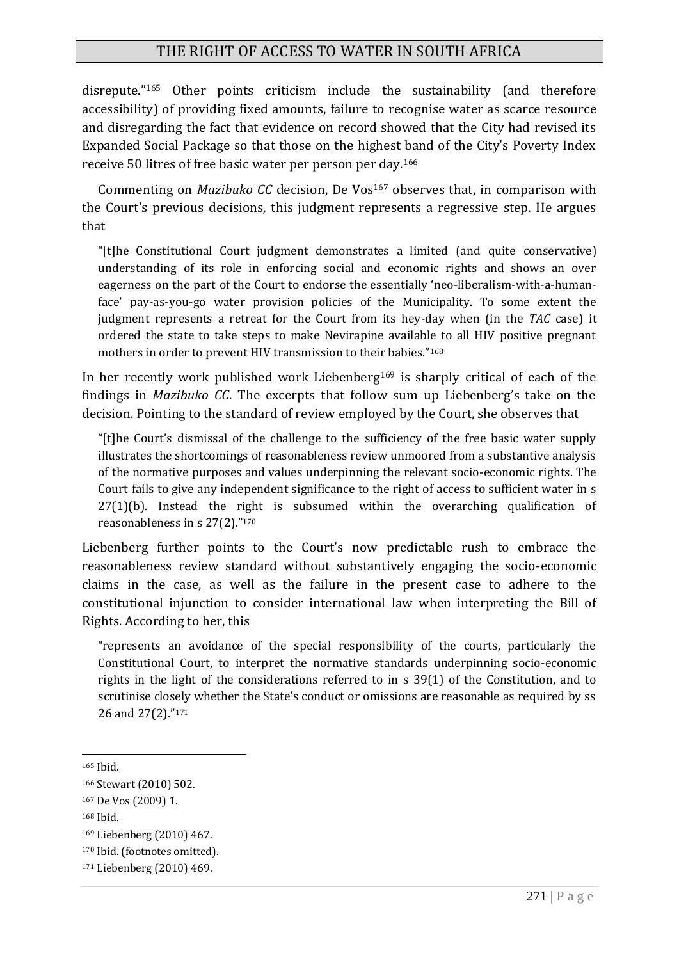disrepute."<sup>165</sup> Other points criticism include the sustainability (and therefore accessibility) of providing fixed amounts, failure to recognise water as scarce resource and disregarding the fact that evidence on record showed that the City had revised its Expanded Social Package so that those on the highest band of the City's Poverty Index receive 50 litres of free basic water per person per day.<sup>166</sup>

Commenting on *Mazibuko CC* decision, De Vos<sup>167</sup> observes that, in comparison with the Court's previous decisions, this judgment represents a regressive step. He argues that

"[t]he Constitutional Court judgment demonstrates a limited (and quite conservative) understanding of its role in enforcing social and economic rights and shows an over eagerness on the part of the Court to endorse the essentially 'neo-liberalism-with-a-humanface' pay-as-you-go water provision policies of the Municipality. To some extent the judgment represents a retreat for the Court from its hey-day when (in the *TAC* case) it ordered the state to take steps to make Nevirapine available to all HIV positive pregnant mothers in order to prevent HIV transmission to their babies."<sup>168</sup>

In her recently work published work Liebenberg<sup>169</sup> is sharply critical of each of the findings in *Mazibuko CC*. The excerpts that follow sum up Liebenberg's take on the decision. Pointing to the standard of review employed by the Court, she observes that

"[t]he Court's dismissal of the challenge to the sufficiency of the free basic water supply illustrates the shortcomings of reasonableness review unmoored from a substantive analysis of the normative purposes and values underpinning the relevant socio-economic rights. The Court fails to give any independent significance to the right of access to sufficient water in s 27(1)(b). Instead the right is subsumed within the overarching qualification of reasonableness in s 27(2)."<sup>170</sup>

Liebenberg further points to the Court's now predictable rush to embrace the reasonableness review standard without substantively engaging the socio-economic claims in the case, as well as the failure in the present case to adhere to the constitutional injunction to consider international law when interpreting the Bill of Rights. According to her, this

"represents an avoidance of the special responsibility of the courts, particularly the Constitutional Court, to interpret the normative standards underpinning socio-economic rights in the light of the considerations referred to in s 39(1) of the Constitution, and to scrutinise closely whether the State's conduct or omissions are reasonable as required by ss 26 and 27(2)."<sup>171</sup>

1

<sup>168</sup> Ibid.

<sup>165</sup> Ibid.

<sup>166</sup> Stewart (2010) 502.

<sup>167</sup> De Vos (2009) 1.

<sup>169</sup> Liebenberg (2010) 467.

<sup>170</sup> Ibid. (footnotes omitted).

<sup>171</sup> Liebenberg (2010) 469.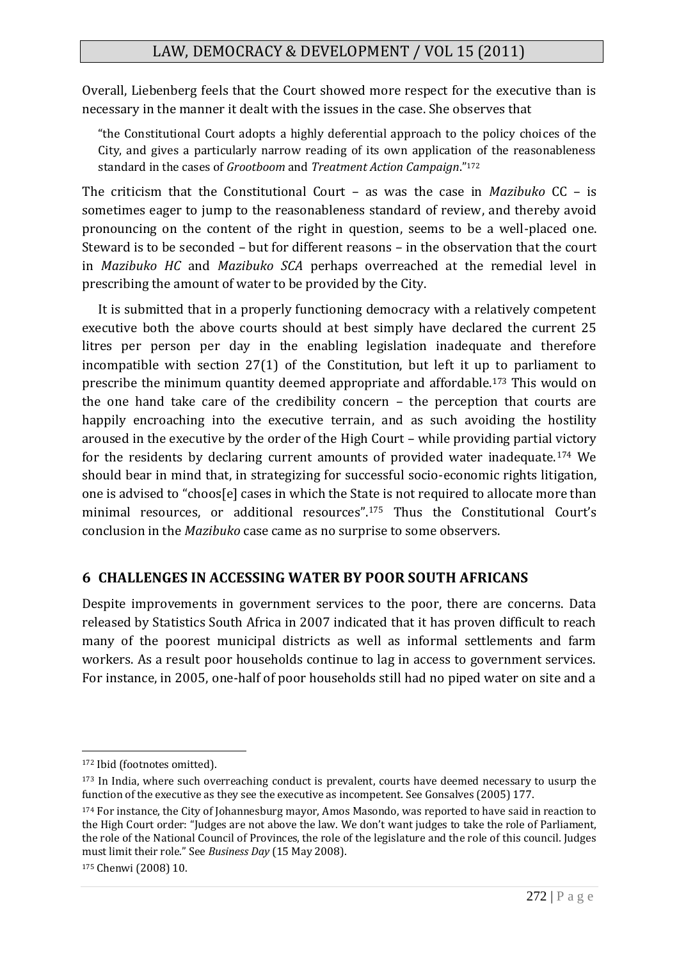Overall, Liebenberg feels that the Court showed more respect for the executive than is necessary in the manner it dealt with the issues in the case. She observes that

"the Constitutional Court adopts a highly deferential approach to the policy choices of the City, and gives a particularly narrow reading of its own application of the reasonableness standard in the cases of *Grootboom* and *Treatment Action Campaign*."<sup>172</sup>

The criticism that the Constitutional Court – as was the case in *Mazibuko* CC – is sometimes eager to jump to the reasonableness standard of review, and thereby avoid pronouncing on the content of the right in question, seems to be a well-placed one. Steward is to be seconded – but for different reasons – in the observation that the court in *Mazibuko HC* and *Mazibuko SCA* perhaps overreached at the remedial level in prescribing the amount of water to be provided by the City.

It is submitted that in a properly functioning democracy with a relatively competent executive both the above courts should at best simply have declared the current 25 litres per person per day in the enabling legislation inadequate and therefore incompatible with section 27(1) of the Constitution, but left it up to parliament to prescribe the minimum quantity deemed appropriate and affordable.<sup>173</sup> This would on the one hand take care of the credibility concern – the perception that courts are happily encroaching into the executive terrain, and as such avoiding the hostility aroused in the executive by the order of the High Court – while providing partial victory for the residents by declaring current amounts of provided water inadequate.<sup>174</sup> We should bear in mind that, in strategizing for successful socio-economic rights litigation, one is advised to "choos[e] cases in which the State is not required to allocate more than minimal resources, or additional resources".<sup>175</sup> Thus the Constitutional Court's conclusion in the *Mazibuko* case came as no surprise to some observers.

#### **6 CHALLENGES IN ACCESSING WATER BY POOR SOUTH AFRICANS**

Despite improvements in government services to the poor, there are concerns. Data released by Statistics South Africa in 2007 indicated that it has proven difficult to reach many of the poorest municipal districts as well as informal settlements and farm workers. As a result poor households continue to lag in access to government services. For instance, in 2005, one-half of poor households still had no piped water on site and a

<sup>172</sup> Ibid (footnotes omitted).

<sup>&</sup>lt;sup>173</sup> In India, where such overreaching conduct is prevalent, courts have deemed necessary to usurp the function of the executive as they see the executive as incompetent. See Gonsalves (2005) 177.

<sup>174</sup> For instance, the City of Johannesburg mayor, Amos Masondo, was reported to have said in reaction to the High Court order: "Judges are not above the law. We don't want judges to take the role of Parliament, the role of the National Council of Provinces, the role of the legislature and the role of this council. Judges must limit their role." See *Business Day* (15 May 2008).

<sup>175</sup> Chenwi (2008) 10.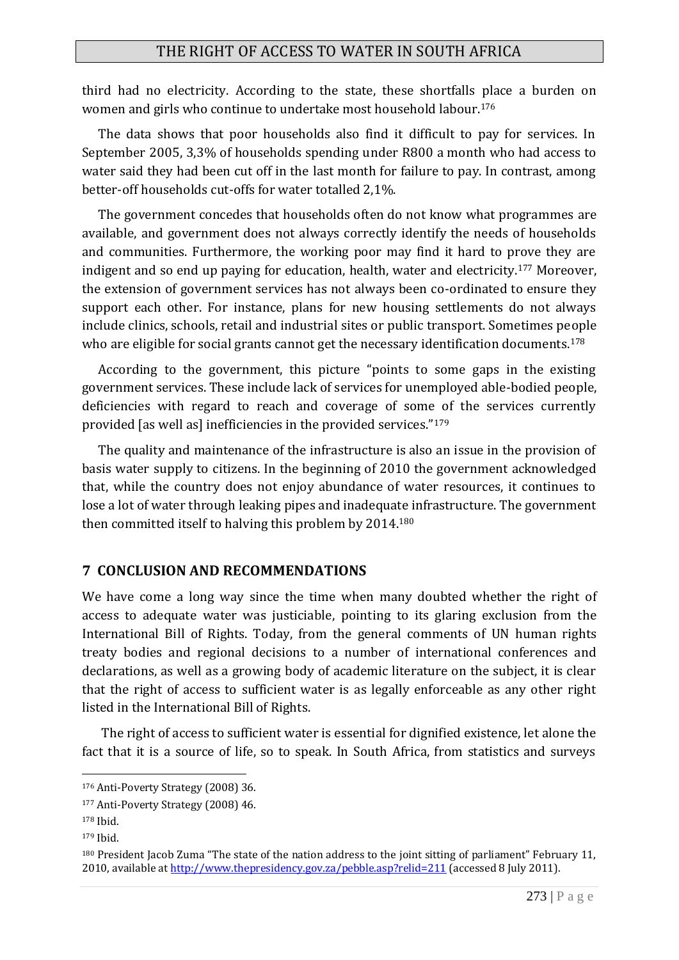third had no electricity. According to the state, these shortfalls place a burden on women and girls who continue to undertake most household labour.<sup>176</sup>

The data shows that poor households also find it difficult to pay for services. In September 2005, 3,3% of households spending under R800 a month who had access to water said they had been cut off in the last month for failure to pay. In contrast, among better-off households cut-offs for water totalled 2,1%.

The government concedes that households often do not know what programmes are available, and government does not always correctly identify the needs of households and communities. Furthermore, the working poor may find it hard to prove they are indigent and so end up paying for education, health, water and electricity.<sup>177</sup> Moreover, the extension of government services has not always been co-ordinated to ensure they support each other. For instance, plans for new housing settlements do not always include clinics, schools, retail and industrial sites or public transport. Sometimes people who are eligible for social grants cannot get the necessary identification documents.<sup>178</sup>

According to the government, this picture "points to some gaps in the existing government services. These include lack of services for unemployed able-bodied people, deficiencies with regard to reach and coverage of some of the services currently provided [as well as] inefficiencies in the provided services."<sup>179</sup>

The quality and maintenance of the infrastructure is also an issue in the provision of basis water supply to citizens. In the beginning of 2010 the government acknowledged that, while the country does not enjoy abundance of water resources, it continues to lose a lot of water through leaking pipes and inadequate infrastructure. The government then committed itself to halving this problem by 2014.<sup>180</sup>

#### **7 CONCLUSION AND RECOMMENDATIONS**

We have come a long way since the time when many doubted whether the right of access to adequate water was justiciable, pointing to its glaring exclusion from the International Bill of Rights. Today, from the general comments of UN human rights treaty bodies and regional decisions to a number of international conferences and declarations, as well as a growing body of academic literature on the subject, it is clear that the right of access to sufficient water is as legally enforceable as any other right listed in the International Bill of Rights.

The right of access to sufficient water is essential for dignified existence, let alone the fact that it is a source of life, so to speak. In South Africa, from statistics and surveys

<sup>176</sup> Anti-Poverty Strategy (2008) 36.

<sup>177</sup> Anti-Poverty Strategy (2008) 46.

<sup>178</sup> Ibid.

<sup>179</sup> Ibid.

<sup>180</sup> President Jacob Zuma "The state of the nation address to the joint sitting of parliament" February 11, 2010, available a[t http://www.thepresidency.gov.za/pebble.asp?relid=211](http://www.thepresidency.gov.za/pebble.asp?relid=211) (accessed 8 July 2011).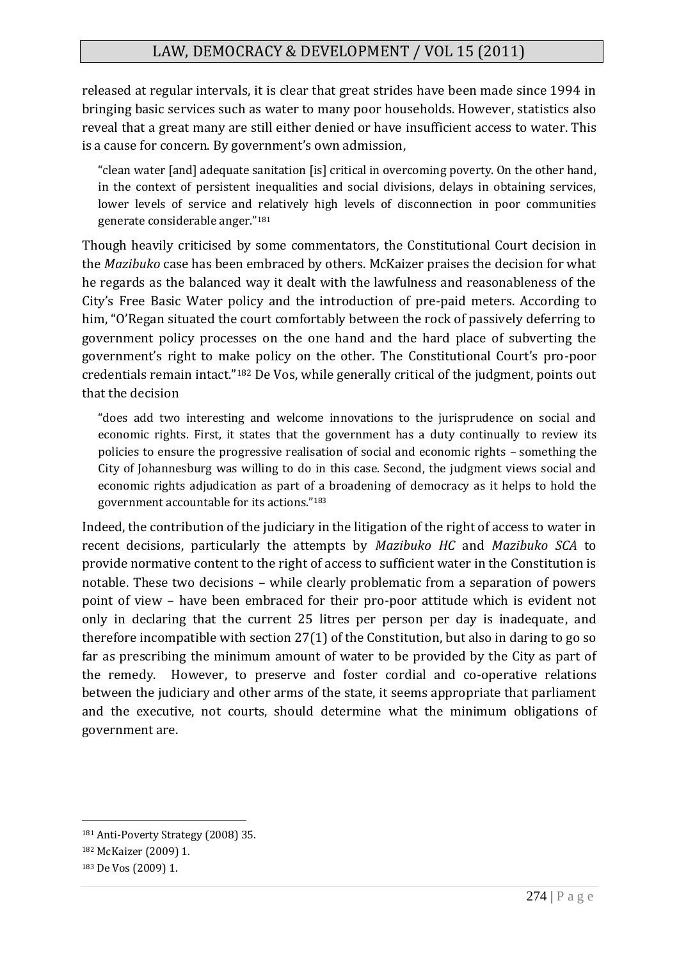released at regular intervals, it is clear that great strides have been made since 1994 in bringing basic services such as water to many poor households. However, statistics also reveal that a great many are still either denied or have insufficient access to water. This is a cause for concern. By government's own admission,

"clean water [and] adequate sanitation [is] critical in overcoming poverty. On the other hand, in the context of persistent inequalities and social divisions, delays in obtaining services, lower levels of service and relatively high levels of disconnection in poor communities generate considerable anger."<sup>181</sup>

Though heavily criticised by some commentators, the Constitutional Court decision in the *Mazibuko* case has been embraced by others. McKaizer praises the decision for what he regards as the balanced way it dealt with the lawfulness and reasonableness of the City's Free Basic Water policy and the introduction of pre-paid meters. According to him, "O'Regan situated the court comfortably between the rock of passively deferring to government policy processes on the one hand and the hard place of subverting the government's right to make policy on the other. The Constitutional Court's pro-poor credentials remain intact."<sup>182</sup> De Vos, while generally critical of the judgment, points out that the decision

"does add two interesting and welcome innovations to the jurisprudence on social and economic rights. First, it states that the government has a duty continually to review its policies to ensure the progressive realisation of social and economic rights – something the City of Johannesburg was willing to do in this case. Second, the judgment views social and economic rights adjudication as part of a broadening of democracy as it helps to hold the government accountable for its actions."<sup>183</sup>

Indeed, the contribution of the judiciary in the litigation of the right of access to water in recent decisions, particularly the attempts by *Mazibuko HC* and *Mazibuko SCA* to provide normative content to the right of access to sufficient water in the Constitution is notable. These two decisions – while clearly problematic from a separation of powers point of view – have been embraced for their pro-poor attitude which is evident not only in declaring that the current 25 litres per person per day is inadequate, and therefore incompatible with section 27(1) of the Constitution, but also in daring to go so far as prescribing the minimum amount of water to be provided by the City as part of the remedy. However, to preserve and foster cordial and co-operative relations between the judiciary and other arms of the state, it seems appropriate that parliament and the executive, not courts, should determine what the minimum obligations of government are.

<sup>181</sup> Anti-Poverty Strategy (2008) 35.

<sup>182</sup> McKaizer (2009) 1.

<sup>183</sup> De Vos (2009) 1.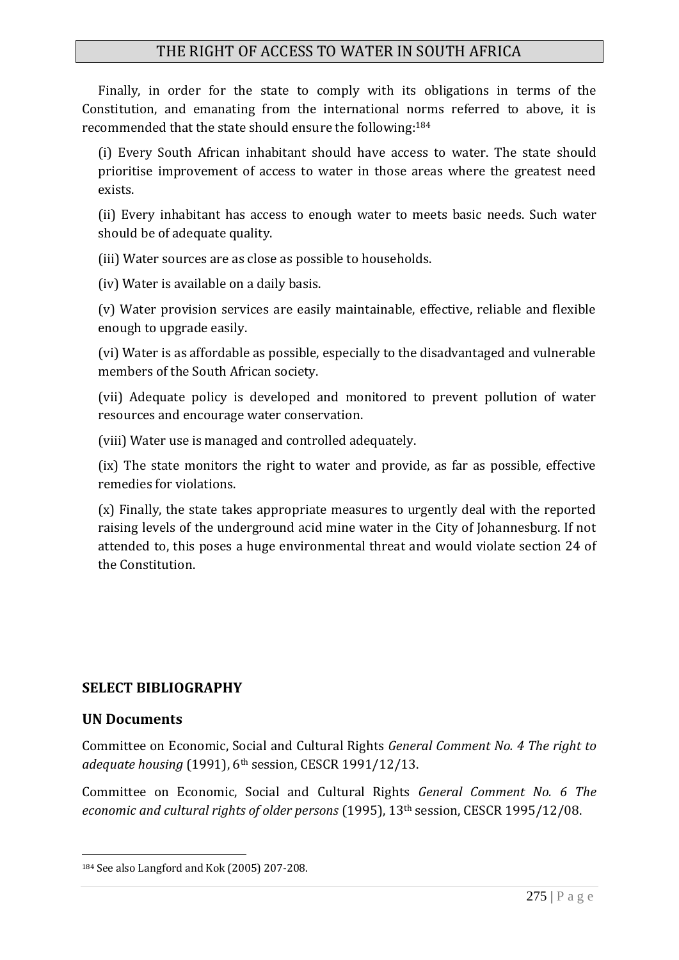Finally, in order for the state to comply with its obligations in terms of the Constitution, and emanating from the international norms referred to above, it is recommended that the state should ensure the following:<sup>184</sup>

(i) Every South African inhabitant should have access to water. The state should prioritise improvement of access to water in those areas where the greatest need exists.

(ii) Every inhabitant has access to enough water to meets basic needs. Such water should be of adequate quality.

(iii) Water sources are as close as possible to households.

(iv) Water is available on a daily basis.

(v) Water provision services are easily maintainable, effective, reliable and flexible enough to upgrade easily.

(vi) Water is as affordable as possible, especially to the disadvantaged and vulnerable members of the South African society.

(vii) Adequate policy is developed and monitored to prevent pollution of water resources and encourage water conservation.

(viii) Water use is managed and controlled adequately.

(ix) The state monitors the right to water and provide, as far as possible, effective remedies for violations.

(x) Finally, the state takes appropriate measures to urgently deal with the reported raising levels of the underground acid mine water in the City of Johannesburg. If not attended to, this poses a huge environmental threat and would violate section 24 of the Constitution.

# **SELECT BIBLIOGRAPHY**

#### **UN Documents**

<u>.</u>

Committee on Economic, Social and Cultural Rights *General Comment No. 4 The right to adequate housing* (1991), 6th session, CESCR 1991/12/13.

Committee on Economic, Social and Cultural Rights *General Comment No. 6 The economic and cultural rights of older persons* (1995), 13th session, CESCR 1995/12/08.

<sup>184</sup> See also Langford and Kok (2005) 207-208.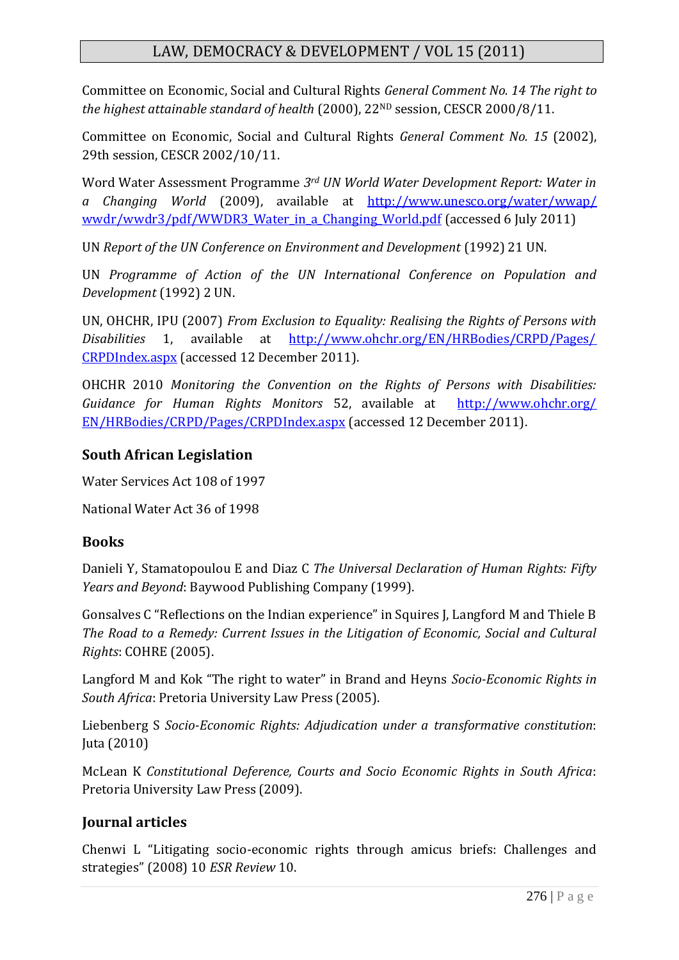Committee on Economic, Social and Cultural Rights *General Comment No. 14 The right to the highest attainable standard of health* (2000), 22ND session, CESCR 2000/8/11.

Committee on Economic, Social and Cultural Rights *General Comment No. 15* (2002), 29th session, CESCR 2002/10/11.

Word Water Assessment Programme *3rd UN World Water Development Report: Water in a Changing World* (2009), available at [http://www.unesco.org/water/wwap/](http://www.unesco.org/water/wwap/%20wwdr/wwdr3/pdf/WWDR3_Water_in_a_Changing_World.pdf) wwdr/wwdr3/pdf/WWDR3 Water in a Changing World.pdf (accessed 6 July 2011)

UN *Report of the UN Conference on Environment and Development* (1992) 21 UN.

UN *Programme of Action of the UN International Conference on Population and Development* (1992) 2 UN.

UN, OHCHR, IPU (2007) *From Exclusion to Equality: Realising the Rights of Persons with Disabilities* 1, available at [http://www.ohchr.org/EN/HRBodies/CRPD/Pages/](http://www.ohchr.org/EN/HRBodies/CRPD/Pages/%20CRPDIndex.aspx)  [CRPDIndex.aspx](http://www.ohchr.org/EN/HRBodies/CRPD/Pages/%20CRPDIndex.aspx) (accessed 12 December 2011).

OHCHR 2010 *Monitoring the Convention on the Rights of Persons with Disabilities: Guidance for Human Rights Monitors* 52, available at [http://www.ohchr.org/](http://www.ohchr.org/%20EN/HRBodies/CRPD/Pages/CRPDIndex.aspx)  [EN/HRBodies/CRPD/Pages/CRPDIndex.aspx](http://www.ohchr.org/%20EN/HRBodies/CRPD/Pages/CRPDIndex.aspx) (accessed 12 December 2011).

#### **South African Legislation**

Water Services Act 108 of 1997

National Water Act 36 of 1998

#### **Books**

Danieli Y, Stamatopoulou E and Diaz C *The Universal Declaration of Human Rights: Fifty Years and Beyond*: Baywood Publishing Company (1999).

Gonsalves C "Reflections on the Indian experience" in Squires J, Langford M and Thiele B *The Road to a Remedy: Current Issues in the Litigation of Economic, Social and Cultural Rights*: COHRE (2005).

Langford M and Kok "The right to water" in Brand and Heyns *Socio-Economic Rights in South Africa*: Pretoria University Law Press (2005).

Liebenberg S *Socio-Economic Rights: Adjudication under a transformative constitution*: Juta (2010)

McLean K *Constitutional Deference, Courts and Socio Economic Rights in South Africa*: Pretoria University Law Press (2009).

#### **Journal articles**

Chenwi L "Litigating socio-economic rights through amicus briefs: Challenges and strategies" (2008) 10 *ESR Review* 10.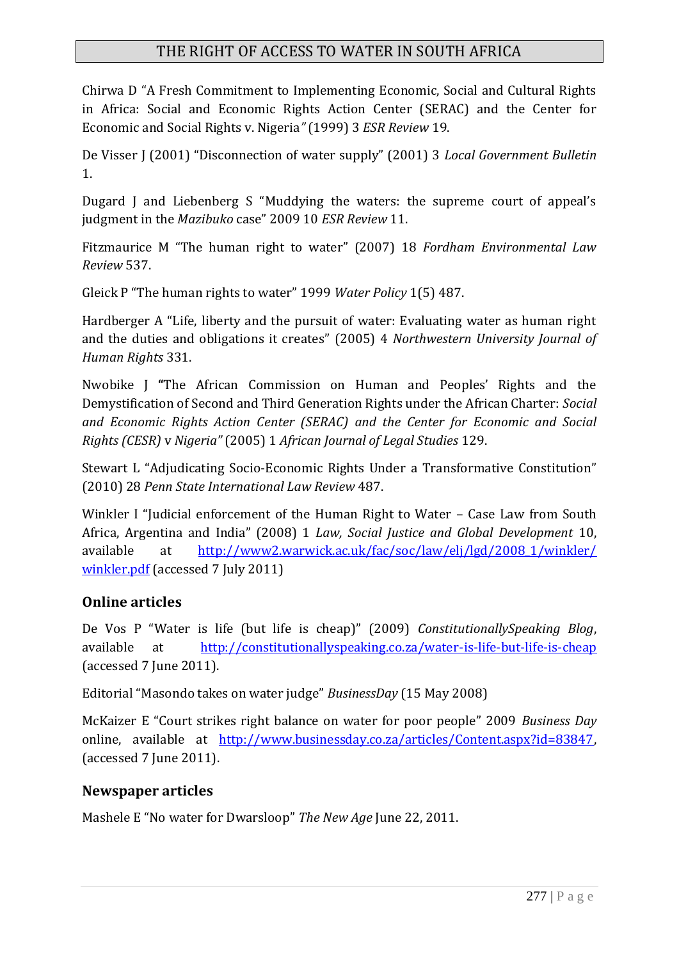Chirwa D "A Fresh Commitment to Implementing Economic, Social and Cultural Rights in Africa: Social and Economic Rights Action Center (SERAC) and the Center for Economic and Social Rights v. Nigeria*"* (1999) 3 *ESR Review* 19.

De Visser J (2001) "Disconnection of water supply" (2001) 3 *Local Government Bulletin* 1.

Dugard J and Liebenberg S "Muddying the waters: the supreme court of appeal's judgment in the *Mazibuko* case" 2009 10 *ESR Review* 11.

Fitzmaurice M "The human right to water" (2007) 18 *Fordham Environmental Law Review* 537.

Gleick P "The human rights to water" 1999 *Water Policy* 1(5) 487.

Hardberger A "Life, liberty and the pursuit of water: Evaluating water as human right and the duties and obligations it creates" (2005) 4 *Northwestern University Journal of Human Rights* 331.

Nwobike J **"**The African Commission on Human and Peoples' Rights and the Demystification of Second and Third Generation Rights under the African Charter: *Social and Economic Rights Action Center (SERAC) and the Center for Economic and Social Rights (CESR) v Nigeria*" (2005) 1 *African Journal of Legal Studies* 129.

Stewart L "Adjudicating Socio-Economic Rights Under a Transformative Constitution" (2010) 28 *Penn State International Law Review* 487.

Winkler I "Judicial enforcement of the Human Right to Water – Case Law from South Africa, Argentina and India" (2008) 1 *Law, Social Justice and Global Development* 10, available at http://www2.warwick.ac.uk/fac/soc/law/elj/lgd/2008\_1/winkler/ [winkler.pdf](http://www2.warwick.ac.uk/fac/soc/law/elj/lgd/2008_1/winkler/%20winkler.pdf) (accessed 7 July 2011)

#### **Online articles**

De Vos P "Water is life (but life is cheap)" (2009) *ConstitutionallySpeaking Blog*, available at <u><http://constitutionallyspeaking.co.za/water-is-life-but-life-is-cheap></u> (accessed 7 June 2011).

Editorial "Masondo takes on water judge" *BusinessDay* (15 May 2008)

McKaizer E "Court strikes right balance on water for poor people" 2009 *Business Day* online, available at [http://www.businessday.co.za/articles/Content.aspx?id=83847,](http://www.businessday.co.za/articles/Content.aspx?id=83847) (accessed 7 June 2011).

#### **Newspaper articles**

Mashele E "No water for Dwarsloop" *The New Age* June 22, 2011.